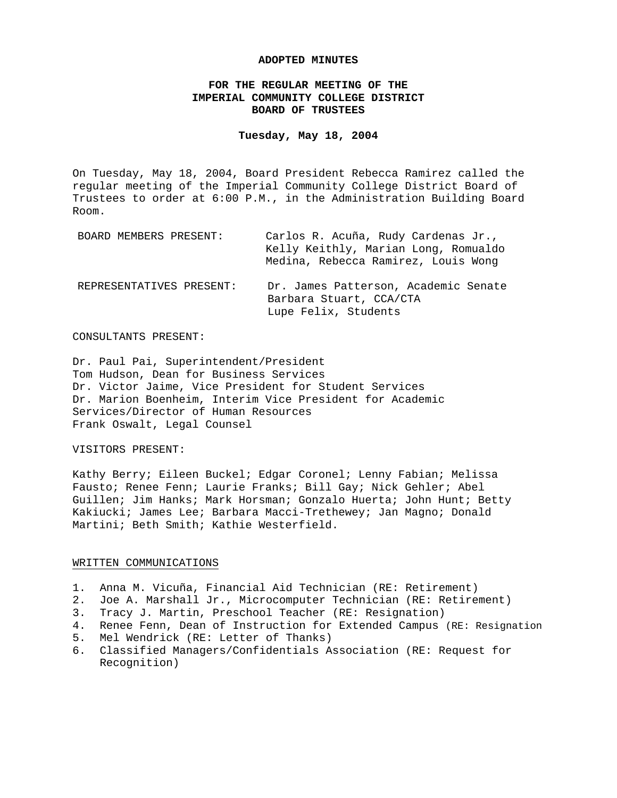#### **ADOPTED MINUTES**

# **FOR THE REGULAR MEETING OF THE IMPERIAL COMMUNITY COLLEGE DISTRICT BOARD OF TRUSTEES**

#### **Tuesday, May 18, 2004**

On Tuesday, May 18, 2004, Board President Rebecca Ramirez called the regular meeting of the Imperial Community College District Board of Trustees to order at 6:00 P.M., in the Administration Building Board Room.

| BOARD MEMBERS PRESENT:   | Carlos R. Acuña, Rudy Cardenas Jr.,<br>Kelly Keithly, Marian Long, Romualdo<br>Medina, Rebecca Ramirez, Louis Wong |
|--------------------------|--------------------------------------------------------------------------------------------------------------------|
| REPRESENTATIVES PRESENT: | Dr. James Patterson, Academic Senate<br>Barbara Stuart, CCA/CTA<br>Lupe Felix, Students                            |

## CONSULTANTS PRESENT:

Dr. Paul Pai, Superintendent/President Tom Hudson, Dean for Business Services Dr. Victor Jaime, Vice President for Student Services Dr. Marion Boenheim, Interim Vice President for Academic Services/Director of Human Resources Frank Oswalt, Legal Counsel

## VISITORS PRESENT:

Kathy Berry; Eileen Buckel; Edgar Coronel; Lenny Fabian; Melissa Fausto; Renee Fenn; Laurie Franks; Bill Gay; Nick Gehler; Abel Guillen; Jim Hanks; Mark Horsman; Gonzalo Huerta; John Hunt; Betty Kakiucki; James Lee; Barbara Macci-Trethewey; Jan Magno; Donald Martini; Beth Smith; Kathie Westerfield.

#### WRITTEN COMMUNICATIONS

- 1. Anna M. Vicuña, Financial Aid Technician (RE: Retirement)
- 2. Joe A. Marshall Jr., Microcomputer Technician (RE: Retirement)
- 3. Tracy J. Martin, Preschool Teacher (RE: Resignation)
- 4. Renee Fenn, Dean of Instruction for Extended Campus (RE: Resignation
- 5. Mel Wendrick (RE: Letter of Thanks)
- 6. Classified Managers/Confidentials Association (RE: Request for Recognition)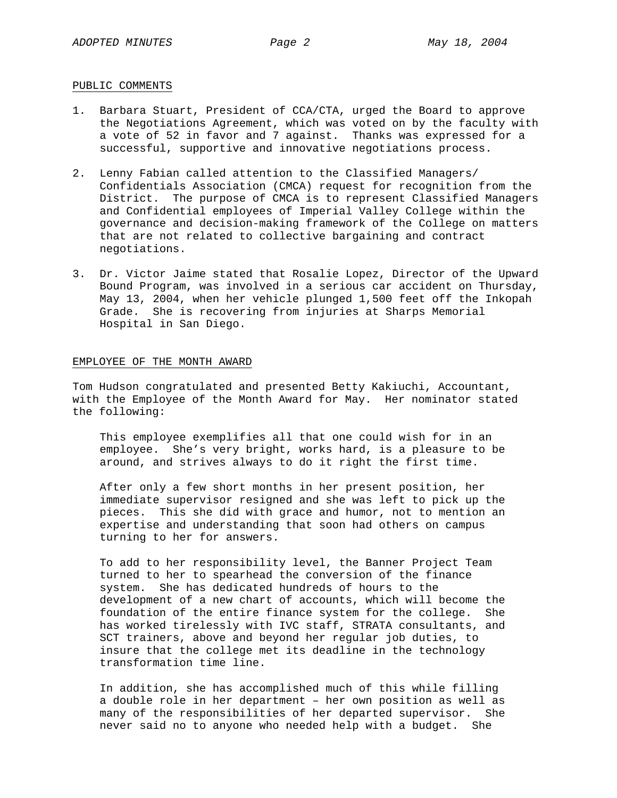### PUBLIC COMMENTS

- 1. Barbara Stuart, President of CCA/CTA, urged the Board to approve the Negotiations Agreement, which was voted on by the faculty with a vote of 52 in favor and 7 against. Thanks was expressed for a successful, supportive and innovative negotiations process.
- 2. Lenny Fabian called attention to the Classified Managers/ Confidentials Association (CMCA) request for recognition from the District. The purpose of CMCA is to represent Classified Managers and Confidential employees of Imperial Valley College within the governance and decision-making framework of the College on matters that are not related to collective bargaining and contract negotiations.
- 3. Dr. Victor Jaime stated that Rosalie Lopez, Director of the Upward Bound Program, was involved in a serious car accident on Thursday, May 13, 2004, when her vehicle plunged 1,500 feet off the Inkopah Grade. She is recovering from injuries at Sharps Memorial Hospital in San Diego.

#### EMPLOYEE OF THE MONTH AWARD

Tom Hudson congratulated and presented Betty Kakiuchi, Accountant, with the Employee of the Month Award for May. Her nominator stated the following:

This employee exemplifies all that one could wish for in an employee. She's very bright, works hard, is a pleasure to be around, and strives always to do it right the first time.

After only a few short months in her present position, her immediate supervisor resigned and she was left to pick up the pieces. This she did with grace and humor, not to mention an expertise and understanding that soon had others on campus turning to her for answers.

To add to her responsibility level, the Banner Project Team turned to her to spearhead the conversion of the finance system. She has dedicated hundreds of hours to the development of a new chart of accounts, which will become the foundation of the entire finance system for the college. She has worked tirelessly with IVC staff, STRATA consultants, and SCT trainers, above and beyond her regular job duties, to insure that the college met its deadline in the technology transformation time line.

In addition, she has accomplished much of this while filling a double role in her department – her own position as well as many of the responsibilities of her departed supervisor. She never said no to anyone who needed help with a budget. She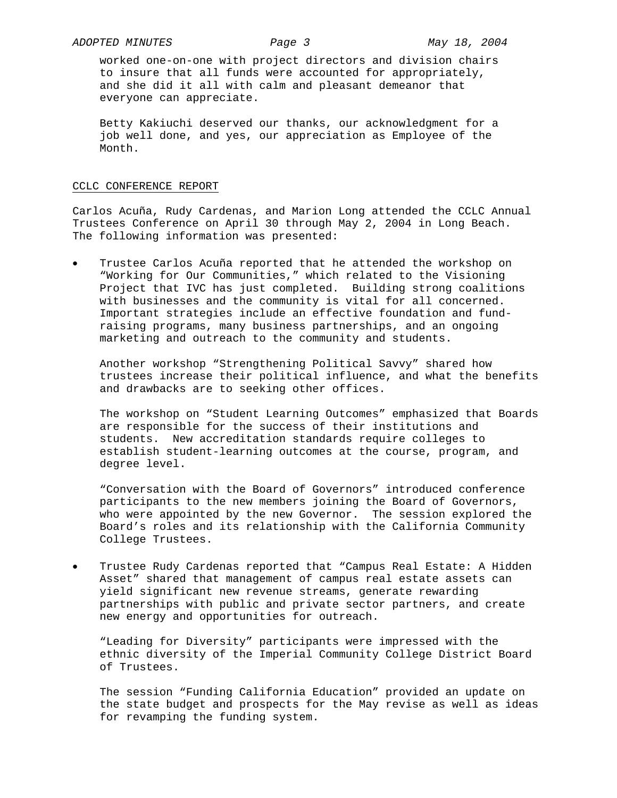worked one-on-one with project directors and division chairs to insure that all funds were accounted for appropriately, and she did it all with calm and pleasant demeanor that everyone can appreciate.

Betty Kakiuchi deserved our thanks, our acknowledgment for a job well done, and yes, our appreciation as Employee of the Month.

## CCLC CONFERENCE REPORT

Carlos Acuña, Rudy Cardenas, and Marion Long attended the CCLC Annual Trustees Conference on April 30 through May 2, 2004 in Long Beach. The following information was presented:

Trustee Carlos Acuña reported that he attended the workshop on "Working for Our Communities," which related to the Visioning Project that IVC has just completed. Building strong coalitions with businesses and the community is vital for all concerned. Important strategies include an effective foundation and fundraising programs, many business partnerships, and an ongoing marketing and outreach to the community and students.

Another workshop "Strengthening Political Savvy" shared how trustees increase their political influence, and what the benefits and drawbacks are to seeking other offices.

The workshop on "Student Learning Outcomes" emphasized that Boards are responsible for the success of their institutions and students. New accreditation standards require colleges to establish student-learning outcomes at the course, program, and degree level.

"Conversation with the Board of Governors" introduced conference participants to the new members joining the Board of Governors, who were appointed by the new Governor. The session explored the Board's roles and its relationship with the California Community College Trustees.

Trustee Rudy Cardenas reported that "Campus Real Estate: A Hidden Asset" shared that management of campus real estate assets can yield significant new revenue streams, generate rewarding partnerships with public and private sector partners, and create new energy and opportunities for outreach.

 "Leading for Diversity" participants were impressed with the ethnic diversity of the Imperial Community College District Board of Trustees.

The session "Funding California Education" provided an update on the state budget and prospects for the May revise as well as ideas for revamping the funding system.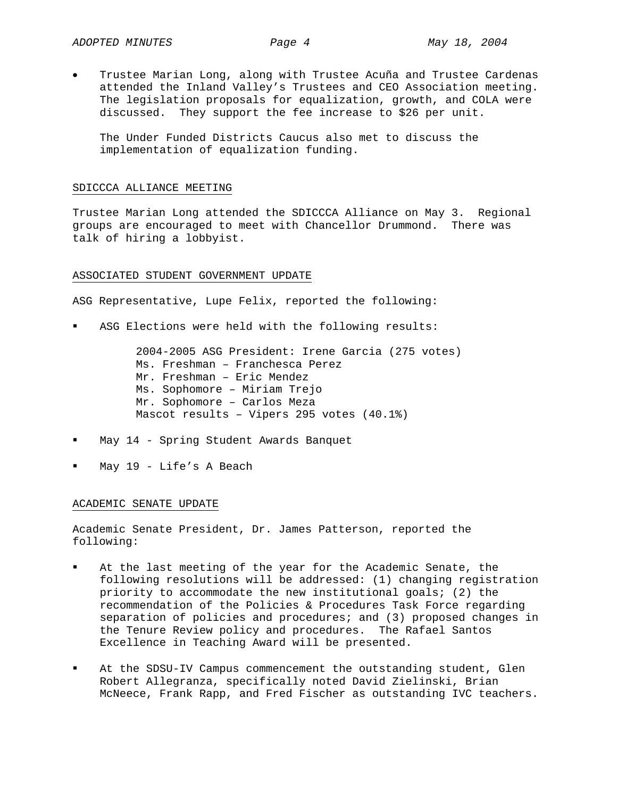• Trustee Marian Long, along with Trustee Acuña and Trustee Cardenas attended the Inland Valley's Trustees and CEO Association meeting. The legislation proposals for equalization, growth, and COLA were discussed. They support the fee increase to \$26 per unit.

The Under Funded Districts Caucus also met to discuss the implementation of equalization funding.

#### SDICCCA ALLIANCE MEETING

Trustee Marian Long attended the SDICCCA Alliance on May 3. Regional groups are encouraged to meet with Chancellor Drummond. There was talk of hiring a lobbyist.

## ASSOCIATED STUDENT GOVERNMENT UPDATE

ASG Representative, Lupe Felix, reported the following:

ASG Elections were held with the following results:

2004-2005 ASG President: Irene Garcia (275 votes) Ms. Freshman – Franchesca Perez Mr. Freshman – Eric Mendez Ms. Sophomore – Miriam Trejo Mr. Sophomore – Carlos Meza Mascot results – Vipers 295 votes (40.1%)

- May 14 Spring Student Awards Banquet
- May 19 Life's A Beach

## ACADEMIC SENATE UPDATE

Academic Senate President, Dr. James Patterson, reported the following:

- At the last meeting of the year for the Academic Senate, the following resolutions will be addressed: (1) changing registration priority to accommodate the new institutional goals; (2) the recommendation of the Policies & Procedures Task Force regarding separation of policies and procedures; and (3) proposed changes in the Tenure Review policy and procedures. The Rafael Santos Excellence in Teaching Award will be presented.
- At the SDSU-IV Campus commencement the outstanding student, Glen Robert Allegranza, specifically noted David Zielinski, Brian McNeece, Frank Rapp, and Fred Fischer as outstanding IVC teachers.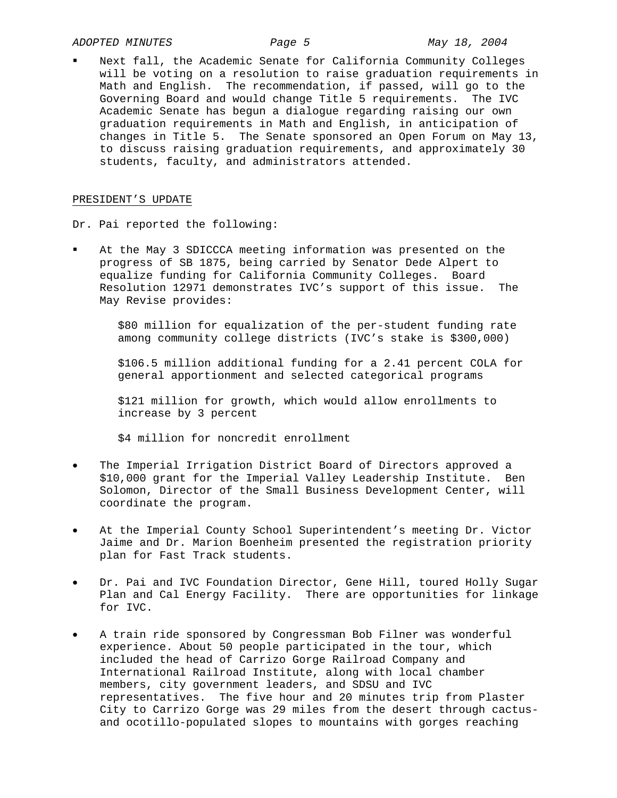Next fall, the Academic Senate for California Community Colleges will be voting on a resolution to raise graduation requirements in Math and English. The recommendation, if passed, will go to the Governing Board and would change Title 5 requirements. The IVC Academic Senate has begun a dialogue regarding raising our own graduation requirements in Math and English, in anticipation of changes in Title 5. The Senate sponsored an Open Forum on May 13, to discuss raising graduation requirements, and approximately 30 students, faculty, and administrators attended.

### PRESIDENT'S UPDATE

Dr. Pai reported the following:

 At the May 3 SDICCCA meeting information was presented on the progress of SB 1875, being carried by Senator Dede Alpert to equalize funding for California Community Colleges. Board Resolution 12971 demonstrates IVC's support of this issue. The May Revise provides:

> \$80 million for equalization of the per-student funding rate among community college districts (IVC's stake is \$300,000)

 \$106.5 million additional funding for a 2.41 percent COLA for general apportionment and selected categorical programs

 \$121 million for growth, which would allow enrollments to increase by 3 percent

\$4 million for noncredit enrollment

- The Imperial Irrigation District Board of Directors approved a \$10,000 grant for the Imperial Valley Leadership Institute. Ben Solomon, Director of the Small Business Development Center, will coordinate the program.
- At the Imperial County School Superintendent's meeting Dr. Victor Jaime and Dr. Marion Boenheim presented the registration priority plan for Fast Track students.
- Dr. Pai and IVC Foundation Director, Gene Hill, toured Holly Sugar Plan and Cal Energy Facility. There are opportunities for linkage for IVC.
- A train ride sponsored by Congressman Bob Filner was wonderful experience. About 50 people participated in the tour, which included the head of Carrizo Gorge Railroad Company and International Railroad Institute, along with local chamber members, city government leaders, and SDSU and IVC representatives. The five hour and 20 minutes trip from Plaster City to Carrizo Gorge was 29 miles from the desert through cactusand ocotillo-populated slopes to mountains with gorges reaching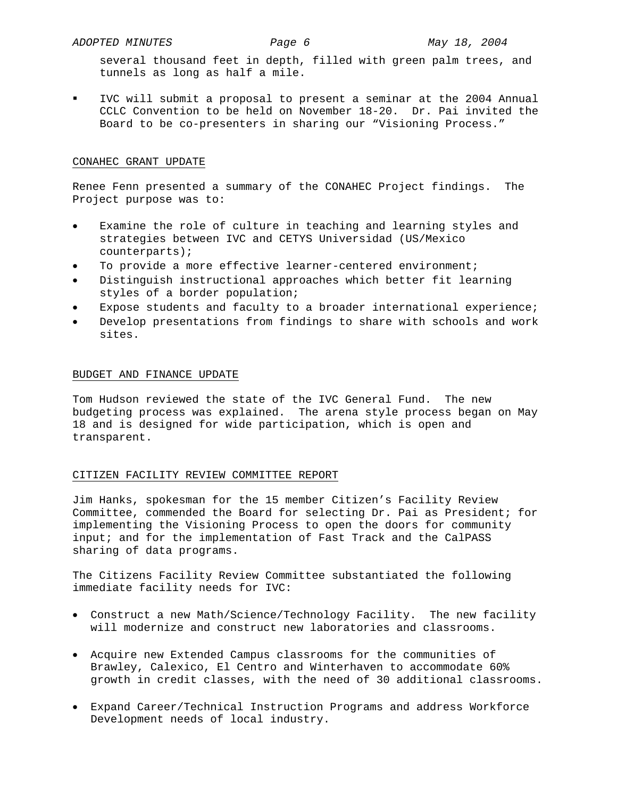several thousand feet in depth, filled with green palm trees, and tunnels as long as half a mile.

 IVC will submit a proposal to present a seminar at the 2004 Annual CCLC Convention to be held on November 18-20. Dr. Pai invited the Board to be co-presenters in sharing our "Visioning Process."

## CONAHEC GRANT UPDATE

Renee Fenn presented a summary of the CONAHEC Project findings. The Project purpose was to:

- Examine the role of culture in teaching and learning styles and strategies between IVC and CETYS Universidad (US/Mexico counterparts);
- To provide a more effective learner-centered environment;
- Distinguish instructional approaches which better fit learning styles of a border population;
- Expose students and faculty to a broader international experience;
- Develop presentations from findings to share with schools and work sites.

## BUDGET AND FINANCE UPDATE

Tom Hudson reviewed the state of the IVC General Fund. The new budgeting process was explained. The arena style process began on May 18 and is designed for wide participation, which is open and transparent.

## CITIZEN FACILITY REVIEW COMMITTEE REPORT

Jim Hanks, spokesman for the 15 member Citizen's Facility Review Committee, commended the Board for selecting Dr. Pai as President; for implementing the Visioning Process to open the doors for community input; and for the implementation of Fast Track and the CalPASS sharing of data programs.

The Citizens Facility Review Committee substantiated the following immediate facility needs for IVC:

- Construct a new Math/Science/Technology Facility. The new facility will modernize and construct new laboratories and classrooms.
- Acquire new Extended Campus classrooms for the communities of Brawley, Calexico, El Centro and Winterhaven to accommodate 60% growth in credit classes, with the need of 30 additional classrooms.
- Expand Career/Technical Instruction Programs and address Workforce Development needs of local industry.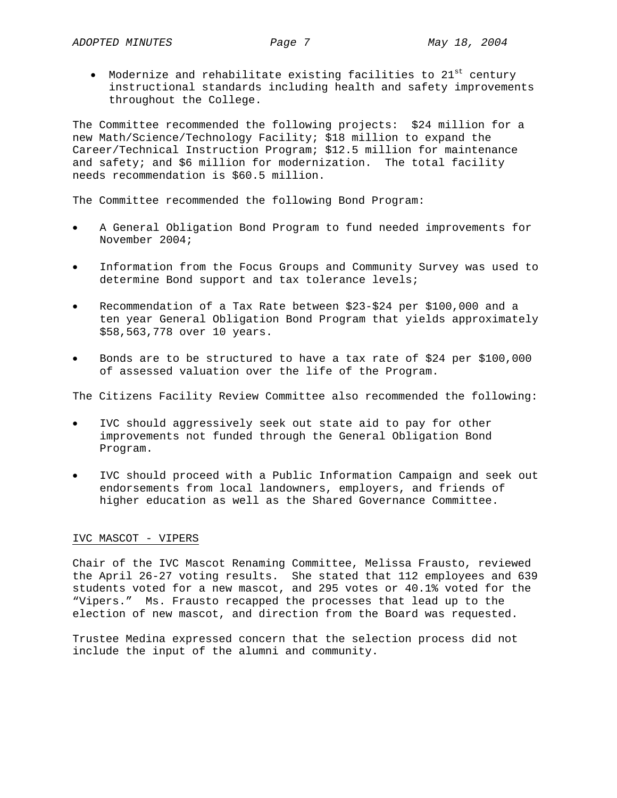• Modernize and rehabilitate existing facilities to  $21^{st}$  century instructional standards including health and safety improvements throughout the College.

The Committee recommended the following projects: \$24 million for a new Math/Science/Technology Facility; \$18 million to expand the Career/Technical Instruction Program; \$12.5 million for maintenance and safety; and \$6 million for modernization. The total facility needs recommendation is \$60.5 million.

The Committee recommended the following Bond Program:

- A General Obligation Bond Program to fund needed improvements for November 2004;
- Information from the Focus Groups and Community Survey was used to determine Bond support and tax tolerance levels;
- Recommendation of a Tax Rate between \$23-\$24 per \$100,000 and a ten year General Obligation Bond Program that yields approximately \$58,563,778 over 10 years.
- Bonds are to be structured to have a tax rate of \$24 per \$100,000 of assessed valuation over the life of the Program.

The Citizens Facility Review Committee also recommended the following:

- IVC should aggressively seek out state aid to pay for other improvements not funded through the General Obligation Bond Program.
- IVC should proceed with a Public Information Campaign and seek out endorsements from local landowners, employers, and friends of higher education as well as the Shared Governance Committee.

# IVC MASCOT - VIPERS

Chair of the IVC Mascot Renaming Committee, Melissa Frausto, reviewed the April 26-27 voting results. She stated that 112 employees and 639 students voted for a new mascot, and 295 votes or 40.1% voted for the "Vipers." Ms. Frausto recapped the processes that lead up to the election of new mascot, and direction from the Board was requested.

Trustee Medina expressed concern that the selection process did not include the input of the alumni and community.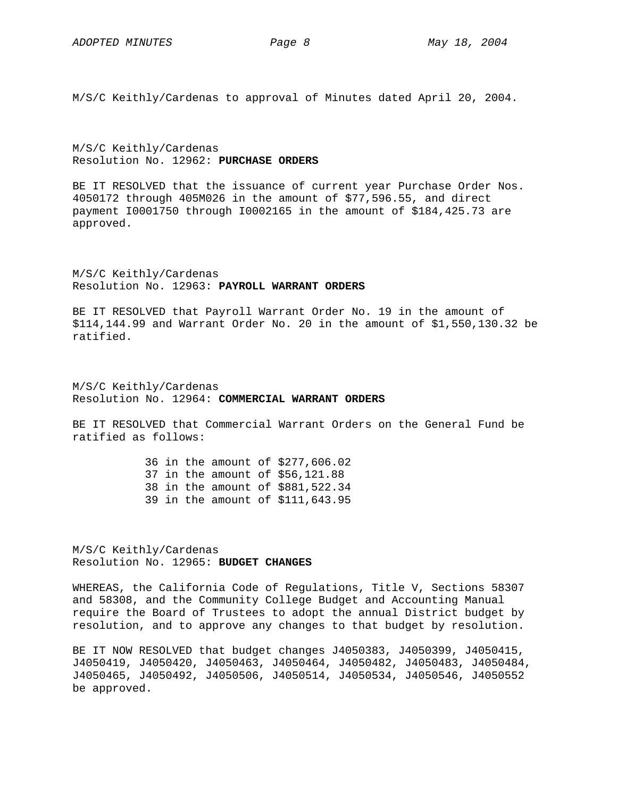M/S/C Keithly/Cardenas to approval of Minutes dated April 20, 2004.

M/S/C Keithly/Cardenas Resolution No. 12962: **PURCHASE ORDERS**

BE IT RESOLVED that the issuance of current year Purchase Order Nos. 4050172 through 405M026 in the amount of \$77,596.55, and direct payment I0001750 through I0002165 in the amount of \$184,425.73 are approved.

M/S/C Keithly/Cardenas Resolution No. 12963: **PAYROLL WARRANT ORDERS**

BE IT RESOLVED that Payroll Warrant Order No. 19 in the amount of \$114,144.99 and Warrant Order No. 20 in the amount of \$1,550,130.32 be ratified.

M/S/C Keithly/Cardenas Resolution No. 12964: **COMMERCIAL WARRANT ORDERS**

BE IT RESOLVED that Commercial Warrant Orders on the General Fund be ratified as follows:

> 36 in the amount of \$277,606.02 37 in the amount of \$56,121.88 38 in the amount of \$881,522.34 39 in the amount of \$111,643.95

M/S/C Keithly/Cardenas Resolution No. 12965: **BUDGET CHANGES**

WHEREAS, the California Code of Regulations, Title V, Sections 58307 and 58308, and the Community College Budget and Accounting Manual require the Board of Trustees to adopt the annual District budget by resolution, and to approve any changes to that budget by resolution.

BE IT NOW RESOLVED that budget changes J4050383, J4050399, J4050415, J4050419, J4050420, J4050463, J4050464, J4050482, J4050483, J4050484, J4050465, J4050492, J4050506, J4050514, J4050534, J4050546, J4050552 be approved.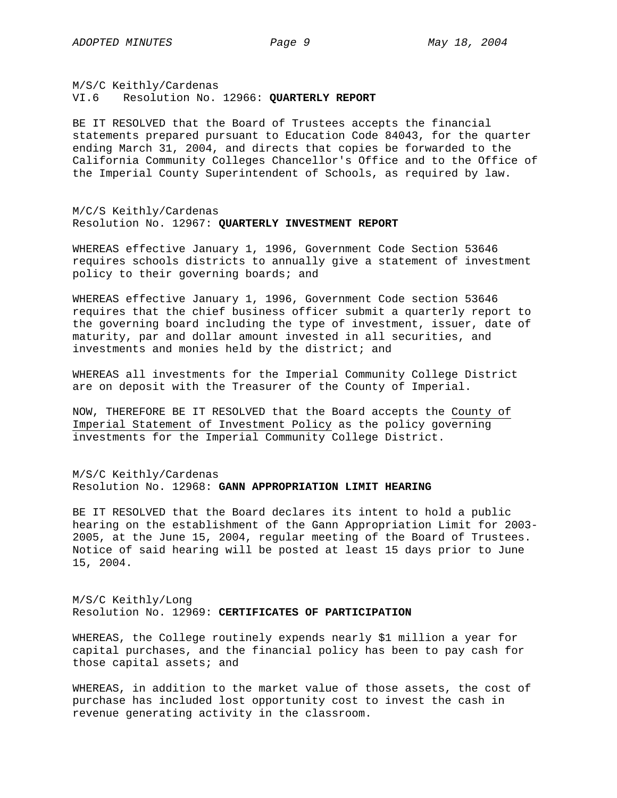M/S/C Keithly/Cardenas VI.6 Resolution No. 12966: **QUARTERLY REPORT**

BE IT RESOLVED that the Board of Trustees accepts the financial statements prepared pursuant to Education Code 84043, for the quarter ending March 31, 2004, and directs that copies be forwarded to the California Community Colleges Chancellor's Office and to the Office of the Imperial County Superintendent of Schools, as required by law.

M/C/S Keithly/Cardenas Resolution No. 12967: **QUARTERLY INVESTMENT REPORT**

WHEREAS effective January 1, 1996, Government Code Section 53646 requires schools districts to annually give a statement of investment policy to their governing boards; and

WHEREAS effective January 1, 1996, Government Code section 53646 requires that the chief business officer submit a quarterly report to the governing board including the type of investment, issuer, date of maturity, par and dollar amount invested in all securities, and investments and monies held by the district; and

WHEREAS all investments for the Imperial Community College District are on deposit with the Treasurer of the County of Imperial.

NOW, THEREFORE BE IT RESOLVED that the Board accepts the County of Imperial Statement of Investment Policy as the policy governing investments for the Imperial Community College District.

M/S/C Keithly/Cardenas Resolution No. 12968: **GANN APPROPRIATION LIMIT HEARING**

BE IT RESOLVED that the Board declares its intent to hold a public hearing on the establishment of the Gann Appropriation Limit for 2003- 2005, at the June 15, 2004, regular meeting of the Board of Trustees. Notice of said hearing will be posted at least 15 days prior to June 15, 2004.

M/S/C Keithly/Long Resolution No. 12969: **CERTIFICATES OF PARTICIPATION**

WHEREAS, the College routinely expends nearly \$1 million a year for capital purchases, and the financial policy has been to pay cash for those capital assets; and

WHEREAS, in addition to the market value of those assets, the cost of purchase has included lost opportunity cost to invest the cash in revenue generating activity in the classroom.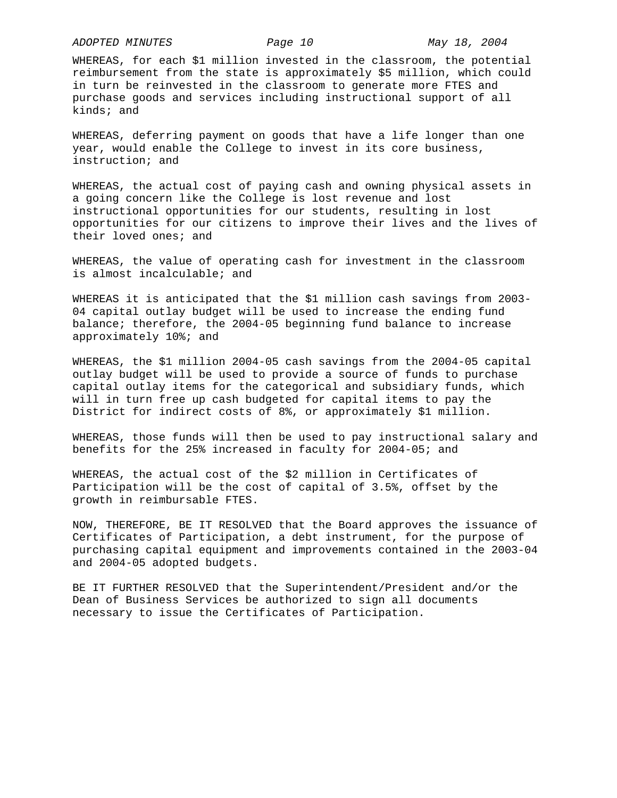*ADOPTED MINUTES Page 10 May 18, 2004* 

WHEREAS, for each \$1 million invested in the classroom, the potential reimbursement from the state is approximately \$5 million, which could in turn be reinvested in the classroom to generate more FTES and purchase goods and services including instructional support of all kinds; and

WHEREAS, deferring payment on goods that have a life longer than one year, would enable the College to invest in its core business, instruction; and

WHEREAS, the actual cost of paying cash and owning physical assets in a going concern like the College is lost revenue and lost instructional opportunities for our students, resulting in lost opportunities for our citizens to improve their lives and the lives of their loved ones; and

WHEREAS, the value of operating cash for investment in the classroom is almost incalculable; and

WHEREAS it is anticipated that the \$1 million cash savings from 2003- 04 capital outlay budget will be used to increase the ending fund balance; therefore, the 2004-05 beginning fund balance to increase approximately 10%; and

WHEREAS, the \$1 million 2004-05 cash savings from the 2004-05 capital outlay budget will be used to provide a source of funds to purchase capital outlay items for the categorical and subsidiary funds, which will in turn free up cash budgeted for capital items to pay the District for indirect costs of 8%, or approximately \$1 million.

WHEREAS, those funds will then be used to pay instructional salary and benefits for the 25% increased in faculty for 2004-05; and

WHEREAS, the actual cost of the \$2 million in Certificates of Participation will be the cost of capital of 3.5%, offset by the growth in reimbursable FTES.

NOW, THEREFORE, BE IT RESOLVED that the Board approves the issuance of Certificates of Participation, a debt instrument, for the purpose of purchasing capital equipment and improvements contained in the 2003-04 and 2004-05 adopted budgets.

BE IT FURTHER RESOLVED that the Superintendent/President and/or the Dean of Business Services be authorized to sign all documents necessary to issue the Certificates of Participation.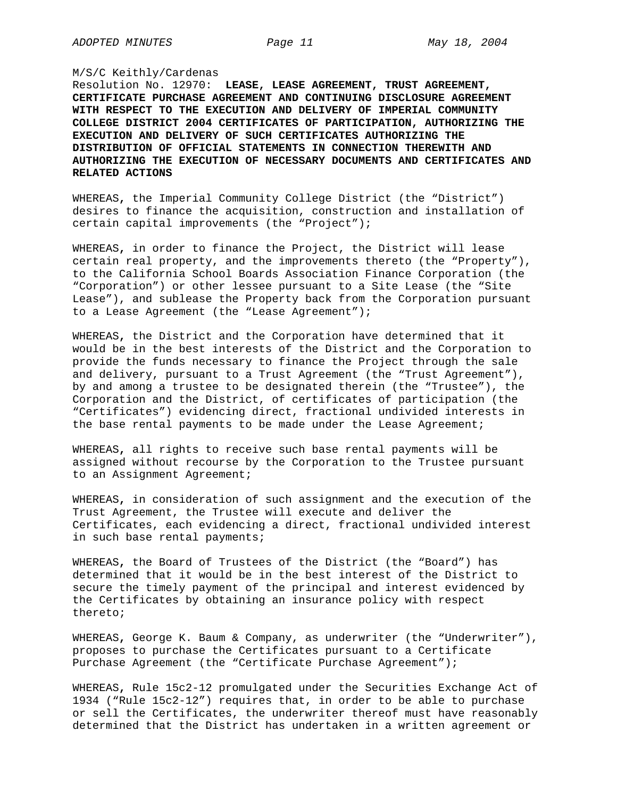## M/S/C Keithly/Cardenas

Resolution No. 12970: **LEASE, LEASE AGREEMENT, TRUST AGREEMENT, CERTIFICATE PURCHASE AGREEMENT AND CONTINUING DISCLOSURE AGREEMENT WITH RESPECT TO THE EXECUTION AND DELIVERY OF IMPERIAL COMMUNITY COLLEGE DISTRICT 2004 CERTIFICATES OF PARTICIPATION, AUTHORIZING THE EXECUTION AND DELIVERY OF SUCH CERTIFICATES AUTHORIZING THE DISTRIBUTION OF OFFICIAL STATEMENTS IN CONNECTION THEREWITH AND AUTHORIZING THE EXECUTION OF NECESSARY DOCUMENTS AND CERTIFICATES AND RELATED ACTIONS** 

WHEREAS**,** the Imperial Community College District (the "District") desires to finance the acquisition, construction and installation of certain capital improvements (the "Project");

WHEREAS**,** in order to finance the Project, the District will lease certain real property, and the improvements thereto (the "Property"), to the California School Boards Association Finance Corporation (the "Corporation") or other lessee pursuant to a Site Lease (the "Site Lease"), and sublease the Property back from the Corporation pursuant to a Lease Agreement (the "Lease Agreement");

WHEREAS**,** the District and the Corporation have determined that it would be in the best interests of the District and the Corporation to provide the funds necessary to finance the Project through the sale and delivery, pursuant to a Trust Agreement (the "Trust Agreement"), by and among a trustee to be designated therein (the "Trustee"), the Corporation and the District, of certificates of participation (the "Certificates") evidencing direct, fractional undivided interests in the base rental payments to be made under the Lease Agreement;

WHEREAS**,** all rights to receive such base rental payments will be assigned without recourse by the Corporation to the Trustee pursuant to an Assignment Agreement;

WHEREAS**,** in consideration of such assignment and the execution of the Trust Agreement, the Trustee will execute and deliver the Certificates, each evidencing a direct, fractional undivided interest in such base rental payments;

WHEREAS**,** the Board of Trustees of the District (the "Board") has determined that it would be in the best interest of the District to secure the timely payment of the principal and interest evidenced by the Certificates by obtaining an insurance policy with respect thereto;

WHEREAS**,** George K. Baum & Company, as underwriter (the "Underwriter"), proposes to purchase the Certificates pursuant to a Certificate Purchase Agreement (the "Certificate Purchase Agreement");

WHEREAS**,** Rule 15c2-12 promulgated under the Securities Exchange Act of 1934 ("Rule 15c2-12") requires that, in order to be able to purchase or sell the Certificates, the underwriter thereof must have reasonably determined that the District has undertaken in a written agreement or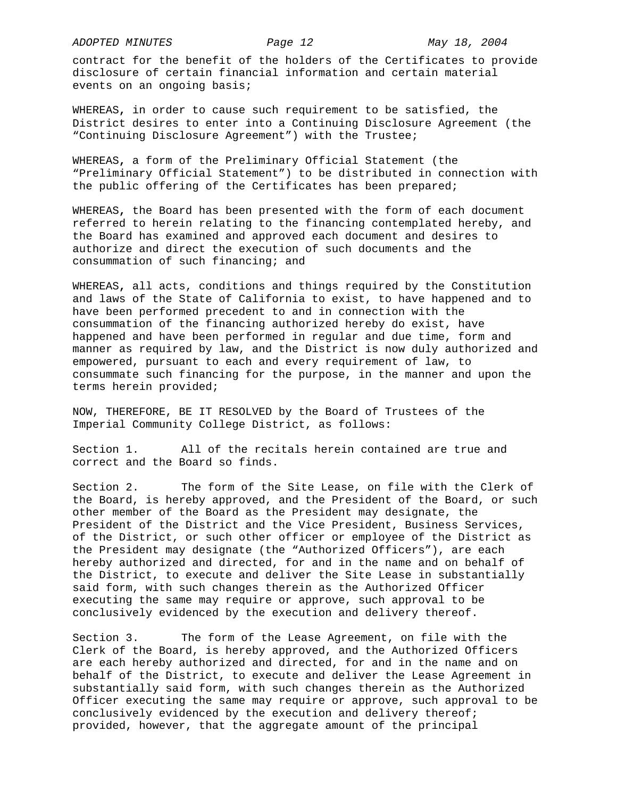contract for the benefit of the holders of the Certificates to provide disclosure of certain financial information and certain material events on an ongoing basis;

WHEREAS**,** in order to cause such requirement to be satisfied, the District desires to enter into a Continuing Disclosure Agreement (the "Continuing Disclosure Agreement") with the Trustee;

WHEREAS**,** a form of the Preliminary Official Statement (the "Preliminary Official Statement") to be distributed in connection with the public offering of the Certificates has been prepared;

WHEREAS**,** the Board has been presented with the form of each document referred to herein relating to the financing contemplated hereby, and the Board has examined and approved each document and desires to authorize and direct the execution of such documents and the consummation of such financing; and

WHEREAS**,** all acts, conditions and things required by the Constitution and laws of the State of California to exist, to have happened and to have been performed precedent to and in connection with the consummation of the financing authorized hereby do exist, have happened and have been performed in regular and due time, form and manner as required by law, and the District is now duly authorized and empowered, pursuant to each and every requirement of law, to consummate such financing for the purpose, in the manner and upon the terms herein provided;

NOW, THEREFORE, BE IT RESOLVED by the Board of Trustees of the Imperial Community College District, as follows:

Section 1.All of the recitals herein contained are true and correct and the Board so finds.

Section 2.The form of the Site Lease, on file with the Clerk of the Board, is hereby approved, and the President of the Board, or such other member of the Board as the President may designate, the President of the District and the Vice President, Business Services, of the District, or such other officer or employee of the District as the President may designate (the "Authorized Officers"), are each hereby authorized and directed, for and in the name and on behalf of the District, to execute and deliver the Site Lease in substantially said form, with such changes therein as the Authorized Officer executing the same may require or approve, such approval to be conclusively evidenced by the execution and delivery thereof.

Section 3.The form of the Lease Agreement, on file with the Clerk of the Board, is hereby approved, and the Authorized Officers are each hereby authorized and directed, for and in the name and on behalf of the District, to execute and deliver the Lease Agreement in substantially said form, with such changes therein as the Authorized Officer executing the same may require or approve, such approval to be conclusively evidenced by the execution and delivery thereof; provided, however, that the aggregate amount of the principal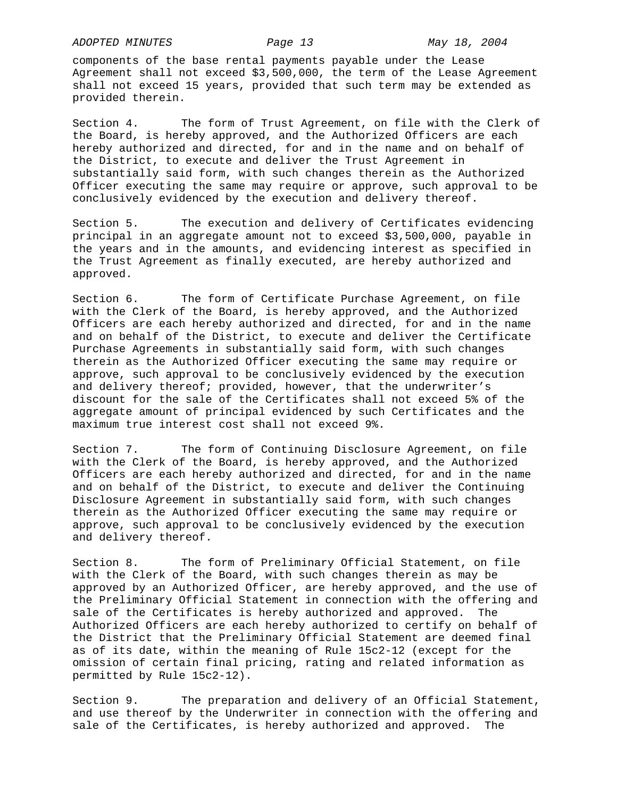components of the base rental payments payable under the Lease Agreement shall not exceed \$3,500,000, the term of the Lease Agreement shall not exceed 15 years, provided that such term may be extended as provided therein.

Section 4.The form of Trust Agreement, on file with the Clerk of the Board, is hereby approved, and the Authorized Officers are each hereby authorized and directed, for and in the name and on behalf of the District, to execute and deliver the Trust Agreement in substantially said form, with such changes therein as the Authorized Officer executing the same may require or approve, such approval to be conclusively evidenced by the execution and delivery thereof.

Section 5.The execution and delivery of Certificates evidencing principal in an aggregate amount not to exceed \$3,500,000, payable in the years and in the amounts, and evidencing interest as specified in the Trust Agreement as finally executed, are hereby authorized and approved.

Section 6.The form of Certificate Purchase Agreement, on file with the Clerk of the Board, is hereby approved, and the Authorized Officers are each hereby authorized and directed, for and in the name and on behalf of the District, to execute and deliver the Certificate Purchase Agreements in substantially said form, with such changes therein as the Authorized Officer executing the same may require or approve, such approval to be conclusively evidenced by the execution and delivery thereof; provided, however, that the underwriter's discount for the sale of the Certificates shall not exceed 5% of the aggregate amount of principal evidenced by such Certificates and the maximum true interest cost shall not exceed 9%.

Section 7. The form of Continuing Disclosure Agreement, on file with the Clerk of the Board, is hereby approved, and the Authorized Officers are each hereby authorized and directed, for and in the name and on behalf of the District, to execute and deliver the Continuing Disclosure Agreement in substantially said form, with such changes therein as the Authorized Officer executing the same may require or approve, such approval to be conclusively evidenced by the execution and delivery thereof.

Section 8.The form of Preliminary Official Statement, on file with the Clerk of the Board, with such changes therein as may be approved by an Authorized Officer, are hereby approved, and the use of the Preliminary Official Statement in connection with the offering and sale of the Certificates is hereby authorized and approved. The Authorized Officers are each hereby authorized to certify on behalf of the District that the Preliminary Official Statement are deemed final as of its date, within the meaning of Rule 15c2-12 (except for the omission of certain final pricing, rating and related information as permitted by Rule 15c2-12).

Section 9.The preparation and delivery of an Official Statement, and use thereof by the Underwriter in connection with the offering and sale of the Certificates, is hereby authorized and approved. The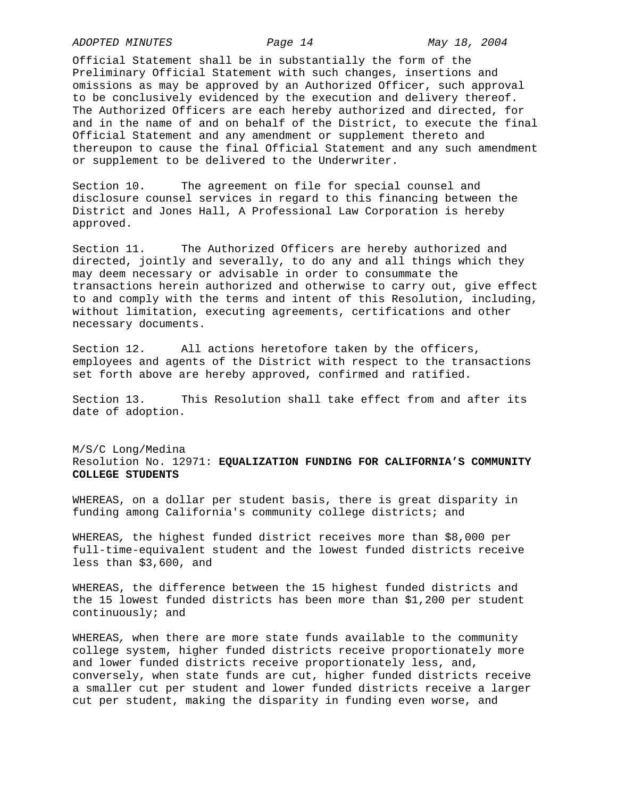*ADOPTED MINUTES Page 14 May 18, 2004* 

Official Statement shall be in substantially the form of the Preliminary Official Statement with such changes, insertions and omissions as may be approved by an Authorized Officer, such approval to be conclusively evidenced by the execution and delivery thereof. The Authorized Officers are each hereby authorized and directed, for and in the name of and on behalf of the District, to execute the final Official Statement and any amendment or supplement thereto and thereupon to cause the final Official Statement and any such amendment or supplement to be delivered to the Underwriter.

Section 10. The agreement on file for special counsel and disclosure counsel services in regard to this financing between the District and Jones Hall, A Professional Law Corporation is hereby approved.

Section 11.The Authorized Officers are hereby authorized and directed, jointly and severally, to do any and all things which they may deem necessary or advisable in order to consummate the transactions herein authorized and otherwise to carry out, give effect to and comply with the terms and intent of this Resolution, including, without limitation, executing agreements, certifications and other necessary documents.

Section 12.All actions heretofore taken by the officers, employees and agents of the District with respect to the transactions set forth above are hereby approved, confirmed and ratified.

Section 13.This Resolution shall take effect from and after its date of adoption.

M/S/C Long/Medina Resolution No. 12971: **EQUALIZATION FUNDING FOR CALIFORNIA'S COMMUNITY COLLEGE STUDENTS**

WHEREAS, on a dollar per student basis, there is great disparity in funding among California's community college districts; and

WHEREAS*,* the highest funded district receives more than \$8,000 per full-time-equivalent student and the lowest funded districts receive less than \$3,600, and

WHEREAS, the difference between the 15 highest funded districts and the 15 lowest funded districts has been more than \$1,200 per student continuously; and

WHEREAS*,* when there are more state funds available to the community college system, higher funded districts receive proportionately more and lower funded districts receive proportionately less, and, conversely, when state funds are cut, higher funded districts receive a smaller cut per student and lower funded districts receive a larger cut per student, making the disparity in funding even worse, and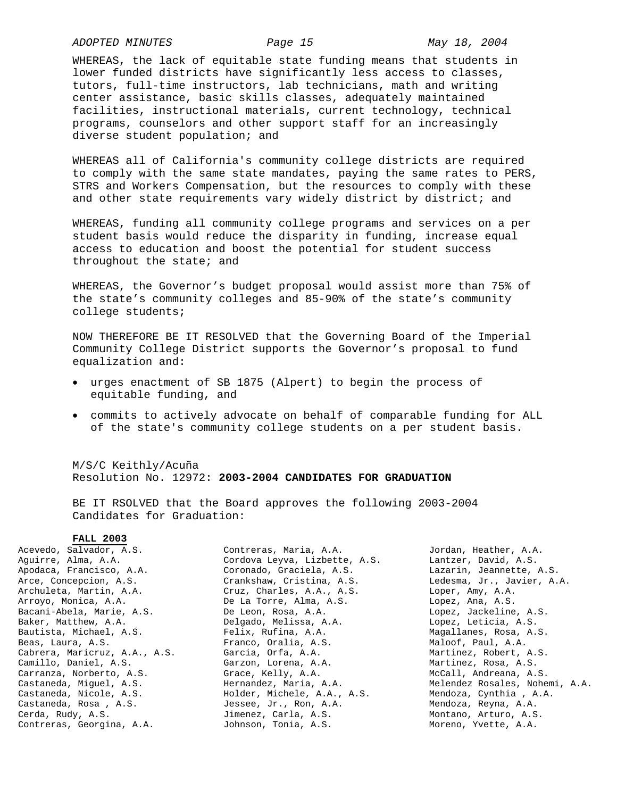*ADOPTED MINUTES Page 15 May 18, 2004* 

WHEREAS, the lack of equitable state funding means that students in lower funded districts have significantly less access to classes, tutors, full-time instructors, lab technicians, math and writing center assistance, basic skills classes, adequately maintained facilities, instructional materials, current technology, technical programs, counselors and other support staff for an increasingly diverse student population; and

WHEREAS all of California's community college districts are required to comply with the same state mandates, paying the same rates to PERS, STRS and Workers Compensation, but the resources to comply with these and other state requirements vary widely district by district; and

WHEREAS, funding all community college programs and services on a per student basis would reduce the disparity in funding, increase equal access to education and boost the potential for student success throughout the state; and

WHEREAS, the Governor's budget proposal would assist more than 75% of the state's community colleges and 85-90% of the state's community college students;

NOW THEREFORE BE IT RESOLVED that the Governing Board of the Imperial Community College District supports the Governor's proposal to fund equalization and:

- urges enactment of SB 1875 (Alpert) to begin the process of equitable funding, and
- commits to actively advocate on behalf of comparable funding for ALL of the state's community college students on a per student basis.

M/S/C Keithly/Acuña Resolution No. 12972: **2003-2004 CANDIDATES FOR GRADUATION**

BE IT RSOLVED that the Board approves the following 2003-2004 Candidates for Graduation:

## **FALL 2003**

| Acevedo, Salvador, A.S.       | Contreras, Maria, A.A.        | Jordan, Heather, A.A.          |
|-------------------------------|-------------------------------|--------------------------------|
| Aquirre, Alma, A.A.           | Cordova Leyva, Lizbette, A.S. | Lantzer, David, A.S.           |
| Apodaca, Francisco, A.A.      | Coronado, Graciela, A.S.      | Lazarin, Jeannette, A.S.       |
| Arce, Concepcion, A.S.        | Crankshaw, Cristina, A.S.     | Ledesma, Jr., Javier, A.A.     |
| Archuleta, Martin, A.A.       | Cruz, Charles, A.A., A.S.     | Loper, Amy, A.A.               |
| Arroyo, Monica, A.A.          | De La Torre, Alma, A.S.       | Lopez, Ana, A.S.               |
| Bacani-Abela, Marie, A.S.     | De Leon, Rosa, A.A.           | Lopez, Jackeline, A.S.         |
| Baker, Matthew, A.A.          | Delgado, Melissa, A.A.        | Lopez, Leticia, A.S.           |
| Bautista, Michael, A.S.       | Felix, Rufina, A.A.           | Magallanes, Rosa, A.S.         |
| Beas, Laura, A.S.             | Franco, Oralia, A.S.          | Maloof, Paul, A.A.             |
| Cabrera, Maricruz, A.A., A.S. | Garcia, Orfa, A.A.            | Martinez, Robert, A.S.         |
| Camillo, Daniel, A.S.         | Garzon, Lorena, A.A.          | Martinez, Rosa, A.S.           |
| Carranza, Norberto, A.S.      | Grace, Kelly, A.A.            | McCall, Andreana, A.S.         |
| Castaneda, Miquel, A.S.       | Hernandez, Maria, A.A.        | Melendez Rosales, Nohemi, A.A. |
| Castaneda, Nicole, A.S.       | Holder, Michele, A.A., A.S.   | Mendoza, Cynthia, A.A.         |
| Castaneda, Rosa, A.S.         | Jessee, Jr., Ron, A.A.        | Mendoza, Reyna, A.A.           |
| Cerda, Rudy, A.S.             | Jimenez, Carla, A.S.          | Montano, Arturo, A.S.          |
| Contreras, Georgina, A.A.     | Johnson, Tonia, A.S.          | Moreno, Yvette, A.A.           |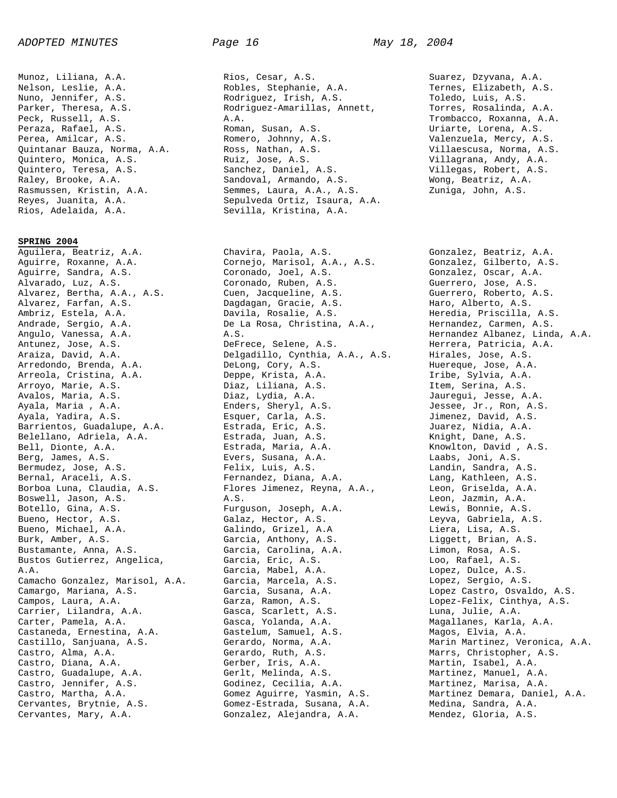Munoz, Liliana, A.A. Nelson, Leslie, A.A. Nuno, Jennifer, A.S. Parker, Theresa, A.S. Peck, Russell, A.S. Peraza, Rafael, A.S. Perea, Amilcar, A.S. Quintanar Bauza, Norma, A.A. Quintero, Monica, A.S. Quintero, Teresa, A.S. Raley, Brooke, A.A. Rasmussen, Kristin, A.A. Reyes, Juanita, A.A. Rios, Adelaida, A.A.

**SPRING 2004**

Aguilera, Beatriz, A.A. Aguirre, Roxanne, A.A. Aguirre, Sandra, A.S. Alvarado, Luz, A.S. Alvarez, Bertha, A.A., A.S. Alvarez, Farfan, A.S. Ambriz, Estela, A.A. Andrade, Sergio, A.A. Angulo, Vanessa, A.A. Antunez, Jose, A.S. Araiza, David, A.A. Arredondo, Brenda, A.A. Arreola, Cristina, A.A. Arroyo, Marie, A.S. Avalos, Maria, A.S. Ayala, Maria , A.A. Ayala, Yadira, A.S. Barrientos, Guadalupe, A.A. Belellano, Adriela, A.A. Bell, Dionte, A.A. Berg, James, A.S. Bermudez, Jose, A.S. Bernal, Araceli, A.S. Borboa Luna, Claudia, A.S. Boswell, Jason, A.S. Botello, Gina, A.S. Bueno, Hector, A.S. Bueno, Michael, A.A. Burk, Amber, A.S. Bustamante, Anna, A.S. Bustos Gutierrez, Angelica, A.A. Camacho Gonzalez, Marisol, A.A. Camargo, Mariana, A.S. Campos, Laura, A.A. Carrier, Lilandra, A.A. Carter, Pamela, A.A. Castaneda, Ernestina, A.A. Castillo, Sanjuana, A.S. Castro, Alma, A.A. Castro, Diana, A.A. Castro, Guadalupe, A.A. Castro, Jennifer, A.S. Castro, Martha, A.A. Cervantes, Brytnie, A.S. Cervantes, Mary, A.A.

Rios, Cesar, A.S. Robles, Stephanie, A.A. Rodriguez, Irish, A.S. Rodriguez-Amarillas, Annett, A.A. Roman, Susan, A.S. Romero, Johnny, A.S. Ross, Nathan, A.S. Ruiz, Jose, A.S. Sanchez, Daniel, A.S. Sandoval, Armando, A.S. Semmes, Laura, A.A., A.S. Sepulveda Ortiz, Isaura, A.A. Sevilla, Kristina, A.A.

Chavira, Paola, A.S. Cornejo, Marisol, A.A., A.S. Coronado, Joel, A.S. Coronado, Ruben, A.S. Cuen, Jacqueline, A.S. Dagdagan, Gracie, A.S. Davila, Rosalie, A.S. De La Rosa, Christina, A.A., A.S. DeFrece, Selene, A.S. Delgadillo, Cynthia, A.A., A.S. DeLong, Cory, A.S. Deppe, Krista, A.A. Diaz, Liliana, A.S. Diaz, Lydia, A.A. Enders, Sheryl, A.S. Esquer, Carla, A.S. Estrada, Eric, A.S. Estrada, Juan, A.S. Estrada, Maria, A.A. Evers, Susana, A.A. Felix, Luis, A.S. Fernandez, Diana, A.A. Flores Jimenez, Reyna, A.A., A.S. Furguson, Joseph, A.A. Galaz, Hector, A.S. Galindo, Grizel, A.A Garcia, Anthony, A.S. Garcia, Carolina, A.A. Garcia, Eric, A.S. Garcia, Mabel, A.A. Garcia, Marcela, A.S. Garcia, Susana, A.A. Garza, Ramon, A.S. Gasca, Scarlett, A.S. Gasca, Yolanda, A.A. Gastelum, Samuel, A.S. Gerardo, Norma, A.A. Gerardo, Ruth, A.S. Gerber, Iris, A.A. Gerlt, Melinda, A.S. Godinez, Cecilia, A.A. Gomez Aguirre, Yasmin, A.S. Gomez-Estrada, Susana, A.A. Gonzalez, Alejandra, A.A.

Suarez, Dzyvana, A.A. Ternes, Elizabeth, A.S. Toledo, Luis, A.S. Torres, Rosalinda, A.A. Trombacco, Roxanna, A.A. Uriarte, Lorena, A.S. Valenzuela, Mercy, A.S. Villaescusa, Norma, A.S. Villagrana, Andy, A.A. Villegas, Robert, A.S. Wong, Beatriz, A.A. Zuniga, John, A.S.

Gonzalez, Beatriz, A.A. Gonzalez, Gilberto, A.S. Gonzalez, Oscar, A.A. Guerrero, Jose, A.S. Guerrero, Roberto, A.S. Haro, Alberto, A.S. Heredia, Priscilla, A.S. Hernandez, Carmen, A.S. Hernandez Albanez, Linda, A.A. Herrera, Patricia, A.A. Hirales, Jose, A.S. Huereque, Jose, A.A. Iribe, Sylvia, A.A. Item, Serina, A.S. Jauregui, Jesse, A.A. Jessee, Jr., Ron, A.S. Jimenez, David, A.S. Juarez, Nidia, A.A. Knight, Dane, A.S. Knowlton, David , A.S. Laabs, Joni, A.S. Landin, Sandra, A.S. Lang, Kathleen, A.S. Leon, Griselda, A.A. Leon, Jazmin, A.A. Lewis, Bonnie, A.S. Leyva, Gabriela, A.S. Liera, Lisa, A.S. Liggett, Brian, A.S. Limon, Rosa, A.S. Loo, Rafael, A.S. Lopez, Dulce, A.S. Lopez, Sergio, A.S. Lopez Castro, Osvaldo, A.S. Lopez-Felix, Cinthya, A.S. Luna, Julie, A.A. Magallanes, Karla, A.A. Magos, Elvia, A.A. Marin Martinez, Veronica, A.A. Marrs, Christopher, A.S. Martin, Isabel, A.A. Martinez, Manuel, A.A. Martinez, Marisa, A.A. Martinez Demara, Daniel, A.A. Medina, Sandra, A.A. Mendez, Gloria, A.S.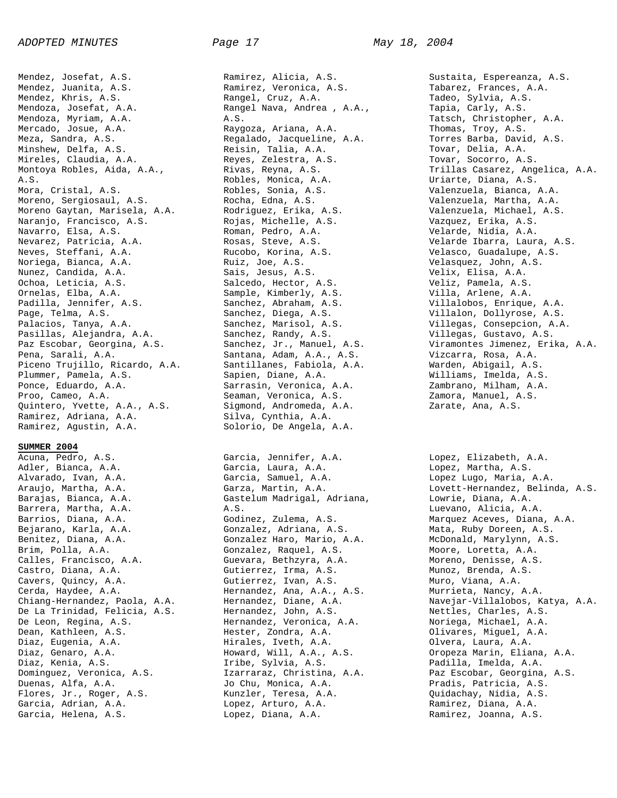Mendez, Josefat, A.S. Mendez, Juanita, A.S. Mendez, Khris, A.S. Mendoza, Josefat, A.A. Mendoza, Myriam, A.A. Mercado, Josue, A.A. Meza, Sandra, A.S. Minshew, Delfa, A.S. Mireles, Claudia, A.A. Montoya Robles, Aida, A.A., A.S. Mora, Cristal, A.S. Moreno, Sergiosaul, A.S. Moreno Gaytan, Marisela, A.A. Naranjo, Francisco, A.S. Navarro, Elsa, A.S. Nevarez, Patricia, A.A. Neves, Steffani, A.A. Noriega, Bianca, A.A. Nunez, Candida, A.A. Ochoa, Leticia, A.S. Ornelas, Elba, A.A. Padilla, Jennifer, A.S. Page, Telma, A.S. Palacios, Tanya, A.A. Pasillas, Alejandra, A.A. Paz Escobar, Georgina, A.S. Pena, Sarali, A.A. Piceno Trujillo, Ricardo, A.A. Plummer, Pamela, A.S. Ponce, Eduardo, A.A. Proo, Cameo, A.A. Quintero, Yvette, A.A., A.S. Ramirez, Adriana, A.A. Ramirez, Agustin, A.A.

#### **SUMMER 2004**

Acuna, Pedro, A.S. Adler, Bianca, A.A. Alvarado, Ivan, A.A. Araujo, Martha, A.A. Barajas, Bianca, A.A. Barrera, Martha, A.A. Barrios, Diana, A.A. Bejarano, Karla, A.A. Benitez, Diana, A.A. Brim, Polla, A.A. Calles, Francisco, A.A. Castro, Diana, A.A. Cavers, Quincy, A.A. Cerda, Haydee, A.A. Chiang-Hernandez, Paola, A.A. De La Trinidad, Felicia, A.S. De Leon, Regina, A.S. Dean, Kathleen, A.S. Diaz, Eugenia, A.A. Diaz, Genaro, A.A. Diaz, Kenia, A.S. Dominguez, Veronica, A.S. Duenas, Alfa, A.A. Flores, Jr., Roger, A.S. Garcia, Adrian, A.A. Garcia, Helena, A.S.

Ramirez, Alicia, A.S. Ramirez, Veronica, A.S. Rangel, Cruz, A.A. Rangel Nava, Andrea , A.A., A.S. Raygoza, Ariana, A.A. Regalado, Jacqueline, A.A. Reisin, Talia, A.A. Reyes, Zelestra, A.S. Rivas, Reyna, A.S. Robles, Monica, A.A. Robles, Sonia, A.S. Rocha, Edna, A.S. Rodriguez, Erika, A.S. Rojas, Michelle, A.S. Roman, Pedro, A.A. Rosas, Steve, A.S. Rucobo, Korina, A.S. Ruiz, Joe, A.S. Sais, Jesus, A.S. Salcedo, Hector, A.S. Sample, Kimberly, A.S. Sanchez, Abraham, A.S. Sanchez, Diega, A.S. Sanchez, Marisol, A.S. Sanchez, Randy, A.S. Sanchez, Jr., Manuel, A.S. Santana, Adam, A.A., A.S. Santillanes, Fabiola, A.A. Sapien, Diane, A.A. Sarrasin, Veronica, A.A. Seaman, Veronica, A.S. Sigmond, Andromeda, A.A. Silva, Cynthia, A.A. Solorio, De Angela, A.A.

Garcia, Jennifer, A.A. Garcia, Laura, A.A. Garcia, Samuel, A.A. Garza, Martin, A.A. Gastelum Madrigal, Adriana, A.S. Godinez, Zulema, A.S. Gonzalez, Adriana, A.S. Gonzalez Haro, Mario, A.A. Gonzalez, Raquel, A.S. Guevara, Bethzyra, A.A. Gutierrez, Irma, A.S. Gutierrez, Ivan, A.S. Hernandez, Ana, A.A., A.S. Hernandez, Diane, A.A. Hernandez, John, A.S. Hernandez, Veronica, A.A. Hester, Zondra, A.A. Hirales, Iveth, A.A. Howard, Will, A.A., A.S. Iribe, Sylvia, A.S. Izarraraz, Christina, A.A. Jo Chu, Monica, A.A. Kunzler, Teresa, A.A. Lopez, Arturo, A.A. Lopez, Diana, A.A.

Sustaita, Espereanza, A.S. Tabarez, Frances, A.A. Tadeo, Sylvia, A.S. Tapia, Carly, A.S. Tatsch, Christopher, A.A. Thomas, Troy, A.S. Torres Barba, David, A.S. Tovar, Delia, A.A. Tovar, Socorro, A.S. Trillas Casarez, Angelica, A.A. Uriarte, Diana, A.S. Valenzuela, Bianca, A.A. Valenzuela, Martha, A.A. Valenzuela, Michael, A.S. Vazquez, Erika, A.S. Velarde, Nidia, A.A. Velarde Ibarra, Laura, A.S. Velasco, Guadalupe, A.S. Velasquez, John, A.S. Velix, Elisa, A.A. Veliz, Pamela, A.S. Villa, Arlene, A.A. Villalobos, Enrique, A.A. Villalon, Dollyrose, A.S. Villegas, Consepcion, A.A. Villegas, Gustavo, A.S. Viramontes Jimenez, Erika, A.A. Vizcarra, Rosa, A.A. Warden, Abigail, A.S. Williams, Imelda, A.S. Zambrano, Milham, A.A. Zamora, Manuel, A.S. Zarate, Ana, A.S.

Lopez, Elizabeth, A.A. Lopez, Martha, A.S. Lopez Lugo, Maria, A.A. Lovett-Hernandez, Belinda, A.S. Lowrie, Diana, A.A. Luevano, Alicia, A.A. Marquez Aceves, Diana, A.A. Mata, Ruby Doreen, A.S. McDonald, Marylynn, A.S. Moore, Loretta, A.A. Moreno, Denisse, A.S. Munoz, Brenda, A.S. Muro, Viana, A.A. Murrieta, Nancy, A.A. Navejar-Villalobos, Katya, A.A. Nettles, Charles, A.S. Noriega, Michael, A.A. Olivares, Miguel, A.A. Olvera, Laura, A.A. Oropeza Marin, Eliana, A.A. Padilla, Imelda, A.A. Paz Escobar, Georgina, A.S. Pradis, Patricia, A.S. Quidachay, Nidia, A.S. Ramirez, Diana, A.A. Ramirez, Joanna, A.S.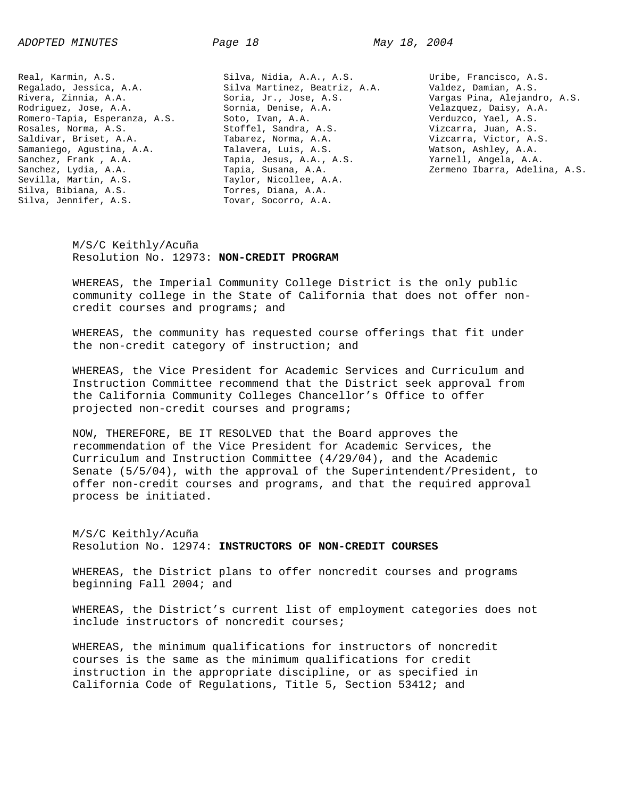Real, Karmin, A.S. Regalado, Jessica, A.A. Rivera, Zinnia, A.A. Rodriguez, Jose, A.A. Romero-Tapia, Esperanza, A.S. Rosales, Norma, A.S. Saldivar, Briset, A.A. Samaniego, Agustina, A.A. Sanchez, Frank , A.A. Sanchez, Lydia, A.A. Sevilla, Martin, A.S. Silva, Bibiana, A.S. Silva, Jennifer, A.S.

Silva, Nidia, A.A., A.S. Silva Martinez, Beatriz, A.A. Soria, Jr., Jose, A.S. Sornia, Denise, A.A. Soto, Ivan, A.A. Stoffel, Sandra, A.S. Tabarez, Norma, A.A. Talavera, Luis, A.S. Tapia, Jesus, A.A., A.S. Tapia, Susana, A.A. Taylor, Nicollee, A.A. Torres, Diana, A.A. Tovar, Socorro, A.A.

Uribe, Francisco, A.S. Valdez, Damian, A.S. Vargas Pina, Alejandro, A.S. Velazquez, Daisy, A.A. Verduzco, Yael, A.S. Vizcarra, Juan, A.S. Vizcarra, Victor, A.S. Watson, Ashley, A.A. Yarnell, Angela, A.A. Zermeno Ibarra, Adelina, A.S.

M/S/C Keithly/Acuña Resolution No. 12973: **NON-CREDIT PROGRAM**

WHEREAS, the Imperial Community College District is the only public community college in the State of California that does not offer noncredit courses and programs; and

WHEREAS, the community has requested course offerings that fit under the non-credit category of instruction; and

WHEREAS, the Vice President for Academic Services and Curriculum and Instruction Committee recommend that the District seek approval from the California Community Colleges Chancellor's Office to offer projected non-credit courses and programs;

NOW, THEREFORE, BE IT RESOLVED that the Board approves the recommendation of the Vice President for Academic Services, the Curriculum and Instruction Committee (4/29/04), and the Academic Senate (5/5/04), with the approval of the Superintendent/President, to offer non-credit courses and programs, and that the required approval process be initiated.

M/S/C Keithly/Acuña Resolution No. 12974: **INSTRUCTORS OF NON-CREDIT COURSES**

WHEREAS, the District plans to offer noncredit courses and programs beginning Fall 2004; and

WHEREAS, the District's current list of employment categories does not include instructors of noncredit courses;

WHEREAS, the minimum qualifications for instructors of noncredit courses is the same as the minimum qualifications for credit instruction in the appropriate discipline, or as specified in California Code of Regulations, Title 5, Section 53412; and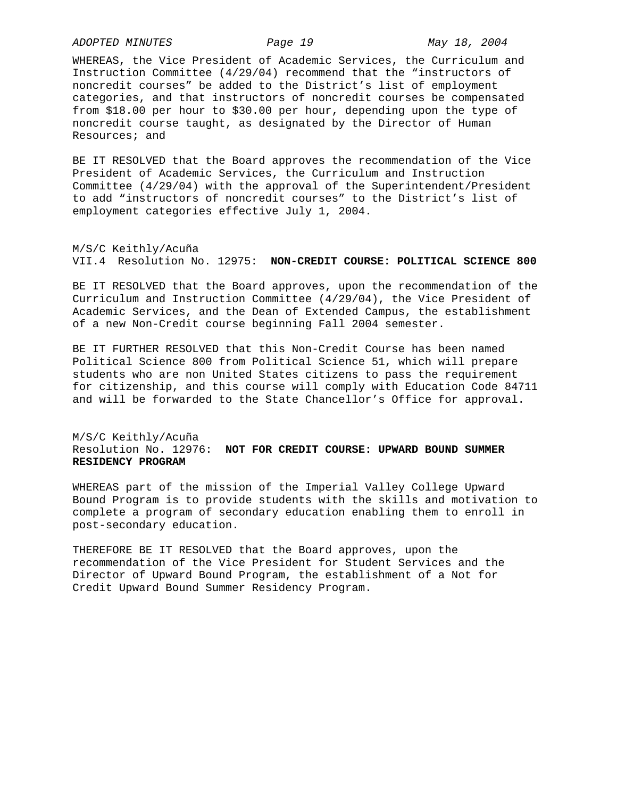*ADOPTED MINUTES Page 19 May 18, 2004* 

WHEREAS, the Vice President of Academic Services, the Curriculum and Instruction Committee (4/29/04) recommend that the "instructors of noncredit courses" be added to the District's list of employment categories, and that instructors of noncredit courses be compensated from \$18.00 per hour to \$30.00 per hour, depending upon the type of noncredit course taught, as designated by the Director of Human Resources; and

BE IT RESOLVED that the Board approves the recommendation of the Vice President of Academic Services, the Curriculum and Instruction Committee (4/29/04) with the approval of the Superintendent/President to add "instructors of noncredit courses" to the District's list of employment categories effective July 1, 2004.

M/S/C Keithly/Acuña VII.4 Resolution No. 12975: **NON-CREDIT COURSE: POLITICAL SCIENCE 800**

BE IT RESOLVED that the Board approves, upon the recommendation of the Curriculum and Instruction Committee (4/29/04), the Vice President of Academic Services, and the Dean of Extended Campus, the establishment of a new Non-Credit course beginning Fall 2004 semester.

BE IT FURTHER RESOLVED that this Non-Credit Course has been named Political Science 800 from Political Science 51, which will prepare students who are non United States citizens to pass the requirement for citizenship, and this course will comply with Education Code 84711 and will be forwarded to the State Chancellor's Office for approval.

# M/S/C Keithly/Acuña Resolution No. 12976: **NOT FOR CREDIT COURSE: UPWARD BOUND SUMMER RESIDENCY PROGRAM**

WHEREAS part of the mission of the Imperial Valley College Upward Bound Program is to provide students with the skills and motivation to complete a program of secondary education enabling them to enroll in post-secondary education.

THEREFORE BE IT RESOLVED that the Board approves, upon the recommendation of the Vice President for Student Services and the Director of Upward Bound Program, the establishment of a Not for Credit Upward Bound Summer Residency Program.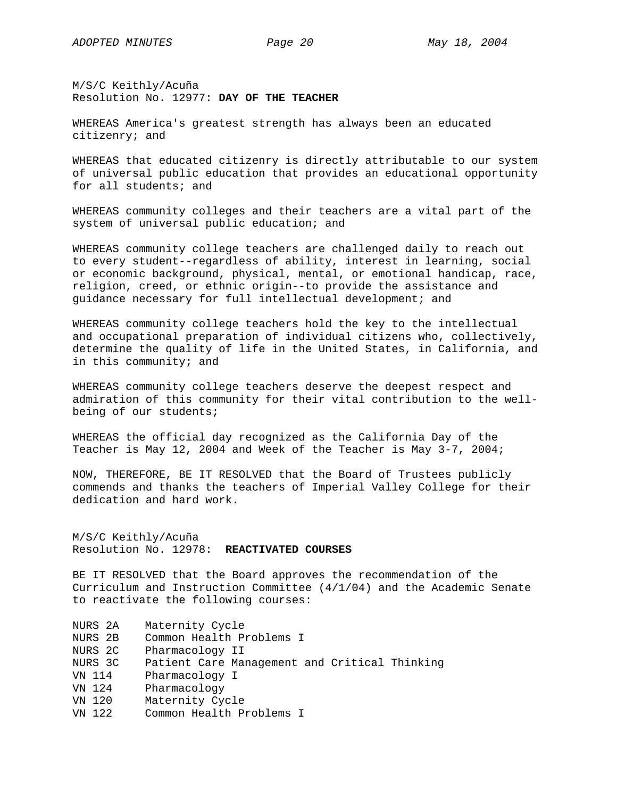M/S/C Keithly/Acuña Resolution No. 12977: **DAY OF THE TEACHER**

WHEREAS America's greatest strength has always been an educated citizenry; and

WHEREAS that educated citizenry is directly attributable to our system of universal public education that provides an educational opportunity for all students; and

WHEREAS community colleges and their teachers are a vital part of the system of universal public education; and

WHEREAS community college teachers are challenged daily to reach out to every student--regardless of ability, interest in learning, social or economic background, physical, mental, or emotional handicap, race, religion, creed, or ethnic origin--to provide the assistance and guidance necessary for full intellectual development; and

WHEREAS community college teachers hold the key to the intellectual and occupational preparation of individual citizens who, collectively, determine the quality of life in the United States, in California, and in this community; and

WHEREAS community college teachers deserve the deepest respect and admiration of this community for their vital contribution to the wellbeing of our students;

WHEREAS the official day recognized as the California Day of the Teacher is May 12, 2004 and Week of the Teacher is May 3-7, 2004;

NOW, THEREFORE, BE IT RESOLVED that the Board of Trustees publicly commends and thanks the teachers of Imperial Valley College for their dedication and hard work.

M/S/C Keithly/Acuña Resolution No. 12978: **REACTIVATED COURSES**

BE IT RESOLVED that the Board approves the recommendation of the Curriculum and Instruction Committee (4/1/04) and the Academic Senate to reactivate the following courses:

- NURS 2A Maternity Cycle
- NURS 2B Common Health Problems I
- NURS 2C Pharmacology II
- NURS 3C Patient Care Management and Critical Thinking
- VN 114 Pharmacology I
- VN 124 Pharmacology
- VN 120 Maternity Cycle
- VN 122 Common Health Problems I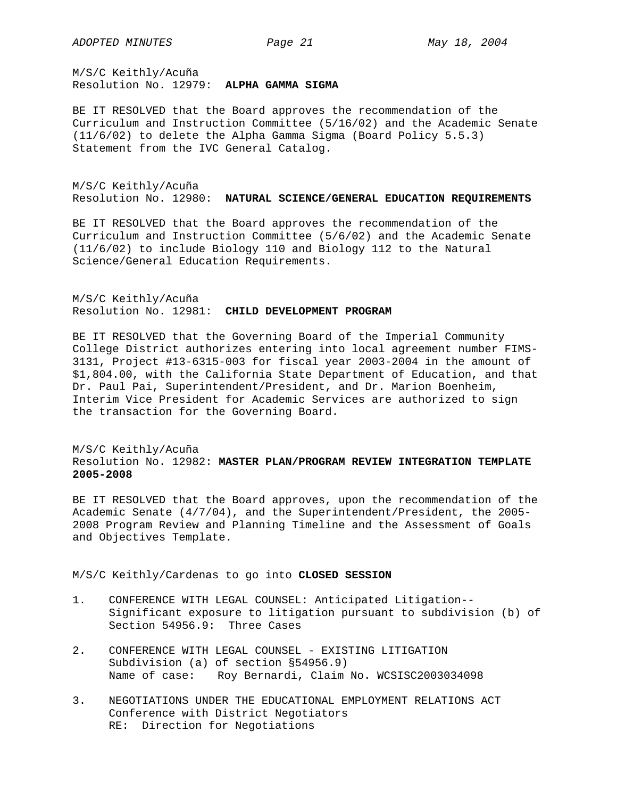M/S/C Keithly/Acuña Resolution No. 12979: **ALPHA GAMMA SIGMA**

BE IT RESOLVED that the Board approves the recommendation of the Curriculum and Instruction Committee (5/16/02) and the Academic Senate (11/6/02) to delete the Alpha Gamma Sigma (Board Policy 5.5.3) Statement from the IVC General Catalog.

M/S/C Keithly/Acuña Resolution No. 12980: **NATURAL SCIENCE/GENERAL EDUCATION REQUIREMENTS**

BE IT RESOLVED that the Board approves the recommendation of the Curriculum and Instruction Committee (5/6/02) and the Academic Senate (11/6/02) to include Biology 110 and Biology 112 to the Natural Science/General Education Requirements.

M/S/C Keithly/Acuña Resolution No. 12981: **CHILD DEVELOPMENT PROGRAM**

BE IT RESOLVED that the Governing Board of the Imperial Community College District authorizes entering into local agreement number FIMS-3131, Project #13-6315-003 for fiscal year 2003-2004 in the amount of \$1,804.00, with the California State Department of Education, and that Dr. Paul Pai, Superintendent/President, and Dr. Marion Boenheim, Interim Vice President for Academic Services are authorized to sign the transaction for the Governing Board.

## M/S/C Keithly/Acuña Resolution No. 12982: **MASTER PLAN/PROGRAM REVIEW INTEGRATION TEMPLATE 2005-2008**

BE IT RESOLVED that the Board approves, upon the recommendation of the Academic Senate (4/7/04), and the Superintendent/President, the 2005- 2008 Program Review and Planning Timeline and the Assessment of Goals and Objectives Template.

M/S/C Keithly/Cardenas to go into **CLOSED SESSION**

- 1. CONFERENCE WITH LEGAL COUNSEL: Anticipated Litigation-- Significant exposure to litigation pursuant to subdivision (b) of Section 54956.9: Three Cases
- 2. CONFERENCE WITH LEGAL COUNSEL EXISTING LITIGATION Subdivision (a) of section §54956.9) Name of case: Roy Bernardi, Claim No. WCSISC2003034098
- 3. NEGOTIATIONS UNDER THE EDUCATIONAL EMPLOYMENT RELATIONS ACT Conference with District Negotiators RE: Direction for Negotiations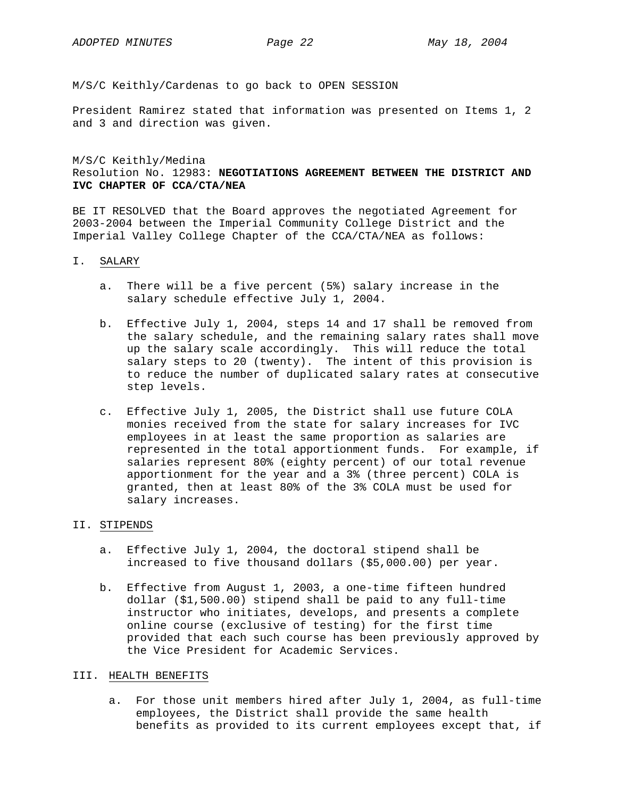M/S/C Keithly/Cardenas to go back to OPEN SESSION

President Ramirez stated that information was presented on Items 1, 2 and 3 and direction was given.

M/S/C Keithly/Medina Resolution No. 12983: **NEGOTIATIONS AGREEMENT BETWEEN THE DISTRICT AND IVC CHAPTER OF CCA/CTA/NEA**

BE IT RESOLVED that the Board approves the negotiated Agreement for 2003-2004 between the Imperial Community College District and the Imperial Valley College Chapter of the CCA/CTA/NEA as follows:

#### I. SALARY

- a. There will be a five percent (5%) salary increase in the salary schedule effective July 1, 2004.
- b. Effective July 1, 2004, steps 14 and 17 shall be removed from the salary schedule, and the remaining salary rates shall move up the salary scale accordingly. This will reduce the total salary steps to 20 (twenty). The intent of this provision is to reduce the number of duplicated salary rates at consecutive step levels.
- c. Effective July 1, 2005, the District shall use future COLA monies received from the state for salary increases for IVC employees in at least the same proportion as salaries are represented in the total apportionment funds. For example, if salaries represent 80% (eighty percent) of our total revenue apportionment for the year and a 3% (three percent) COLA is granted, then at least 80% of the 3% COLA must be used for salary increases.

# II. STIPENDS

- a. Effective July 1, 2004, the doctoral stipend shall be increased to five thousand dollars (\$5,000.00) per year.
- b. Effective from August 1, 2003, a one-time fifteen hundred dollar (\$1,500.00) stipend shall be paid to any full-time instructor who initiates, develops, and presents a complete online course (exclusive of testing) for the first time provided that each such course has been previously approved by the Vice President for Academic Services.

## III. HEALTH BENEFITS

a. For those unit members hired after July 1, 2004, as full-time employees, the District shall provide the same health benefits as provided to its current employees except that, if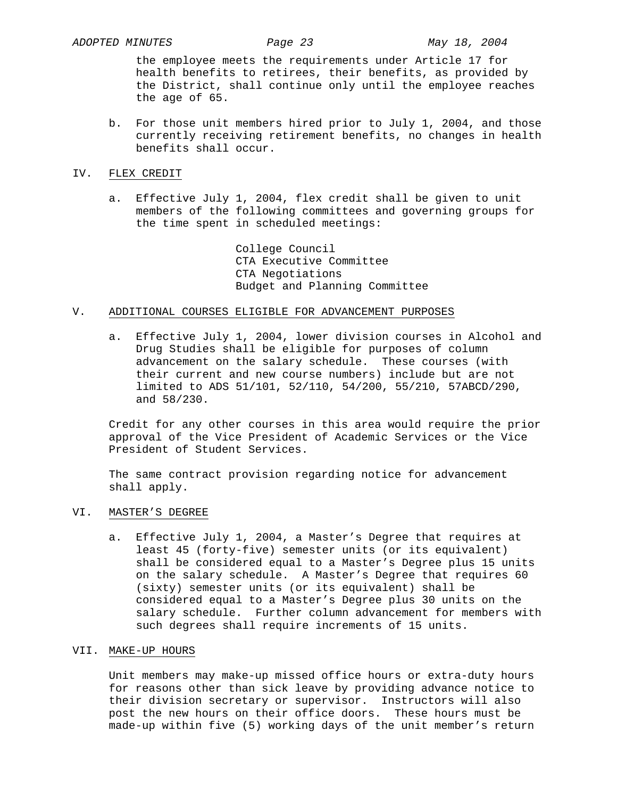the employee meets the requirements under Article 17 for health benefits to retirees, their benefits, as provided by the District, shall continue only until the employee reaches the age of 65.

b. For those unit members hired prior to July 1, 2004, and those currently receiving retirement benefits, no changes in health benefits shall occur.

#### IV. FLEX CREDIT

a. Effective July 1, 2004, flex credit shall be given to unit members of the following committees and governing groups for the time spent in scheduled meetings:

> College Council CTA Executive Committee CTA Negotiations Budget and Planning Committee

## V. ADDITIONAL COURSES ELIGIBLE FOR ADVANCEMENT PURPOSES

a. Effective July 1, 2004, lower division courses in Alcohol and Drug Studies shall be eligible for purposes of column advancement on the salary schedule. These courses (with their current and new course numbers) include but are not limited to ADS 51/101, 52/110, 54/200, 55/210, 57ABCD/290, and 58/230.

 Credit for any other courses in this area would require the prior approval of the Vice President of Academic Services or the Vice President of Student Services.

 The same contract provision regarding notice for advancement shall apply.

## VI. MASTER'S DEGREE

a. Effective July 1, 2004, a Master's Degree that requires at least 45 (forty-five) semester units (or its equivalent) shall be considered equal to a Master's Degree plus 15 units on the salary schedule. A Master's Degree that requires 60 (sixty) semester units (or its equivalent) shall be considered equal to a Master's Degree plus 30 units on the salary schedule. Further column advancement for members with such degrees shall require increments of 15 units.

#### VII. MAKE-UP HOURS

 Unit members may make-up missed office hours or extra-duty hours for reasons other than sick leave by providing advance notice to their division secretary or supervisor. Instructors will also post the new hours on their office doors. These hours must be made-up within five (5) working days of the unit member's return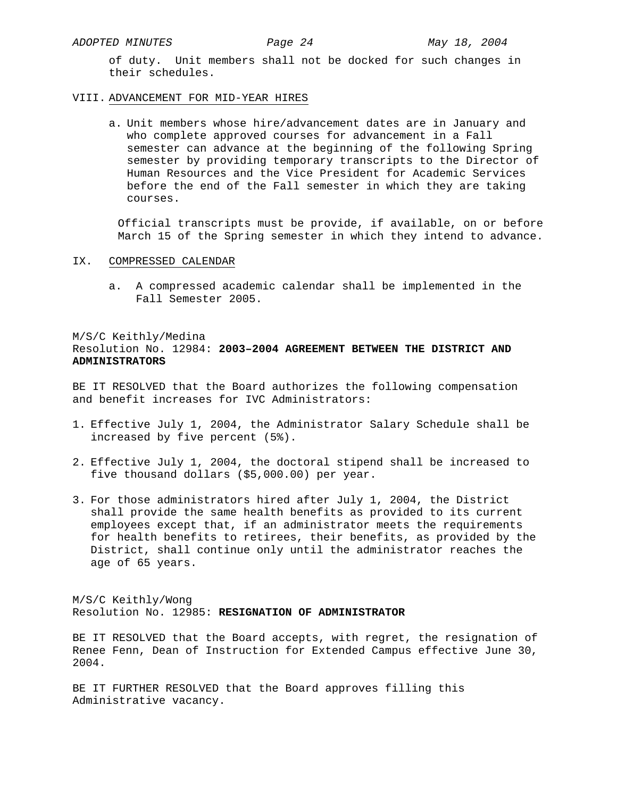of duty. Unit members shall not be docked for such changes in their schedules.

### VIII. ADVANCEMENT FOR MID-YEAR HIRES

a. Unit members whose hire/advancement dates are in January and who complete approved courses for advancement in a Fall semester can advance at the beginning of the following Spring semester by providing temporary transcripts to the Director of Human Resources and the Vice President for Academic Services before the end of the Fall semester in which they are taking courses.

 Official transcripts must be provide, if available, on or before March 15 of the Spring semester in which they intend to advance.

## IX. COMPRESSED CALENDAR

a. A compressed academic calendar shall be implemented in the Fall Semester 2005.

# M/S/C Keithly/Medina Resolution No. 12984: **2003–2004 AGREEMENT BETWEEN THE DISTRICT AND ADMINISTRATORS**

BE IT RESOLVED that the Board authorizes the following compensation and benefit increases for IVC Administrators:

- 1. Effective July 1, 2004, the Administrator Salary Schedule shall be increased by five percent (5%).
- 2. Effective July 1, 2004, the doctoral stipend shall be increased to five thousand dollars (\$5,000.00) per year.
- 3. For those administrators hired after July 1, 2004, the District shall provide the same health benefits as provided to its current employees except that, if an administrator meets the requirements for health benefits to retirees, their benefits, as provided by the District, shall continue only until the administrator reaches the age of 65 years.

M/S/C Keithly/Wong Resolution No. 12985: **RESIGNATION OF ADMINISTRATOR**

BE IT RESOLVED that the Board accepts, with regret, the resignation of Renee Fenn, Dean of Instruction for Extended Campus effective June 30, 2004.

BE IT FURTHER RESOLVED that the Board approves filling this Administrative vacancy.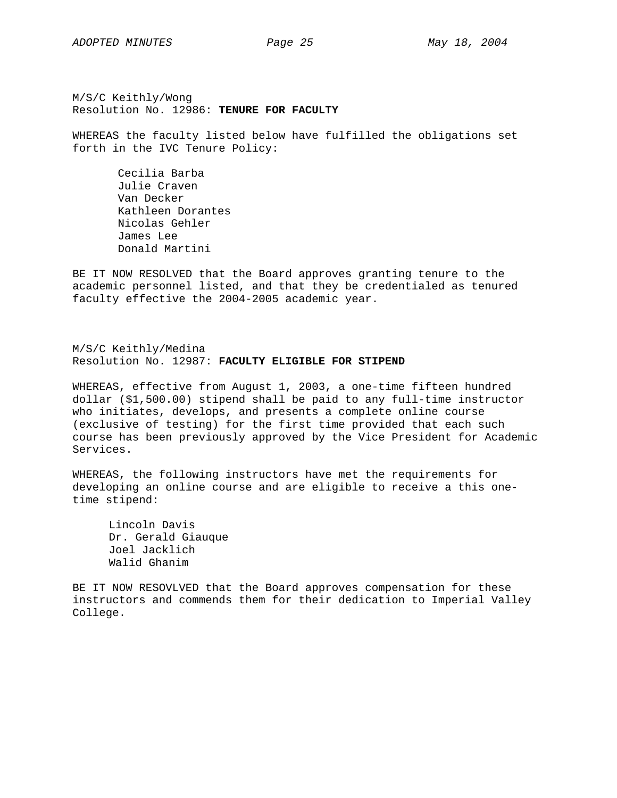M/S/C Keithly/Wong Resolution No. 12986: **TENURE FOR FACULTY**

WHEREAS the faculty listed below have fulfilled the obligations set forth in the IVC Tenure Policy:

 Cecilia Barba Julie Craven Van Decker Kathleen Dorantes Nicolas Gehler James Lee Donald Martini

BE IT NOW RESOLVED that the Board approves granting tenure to the academic personnel listed, and that they be credentialed as tenured faculty effective the 2004-2005 academic year.

M/S/C Keithly/Medina Resolution No. 12987: **FACULTY ELIGIBLE FOR STIPEND**

WHEREAS, effective from August 1, 2003, a one-time fifteen hundred dollar (\$1,500.00) stipend shall be paid to any full-time instructor who initiates, develops, and presents a complete online course (exclusive of testing) for the first time provided that each such course has been previously approved by the Vice President for Academic Services.

WHEREAS, the following instructors have met the requirements for developing an online course and are eligible to receive a this onetime stipend:

 Lincoln Davis Dr. Gerald Giauque Joel Jacklich Walid Ghanim

BE IT NOW RESOVLVED that the Board approves compensation for these instructors and commends them for their dedication to Imperial Valley College.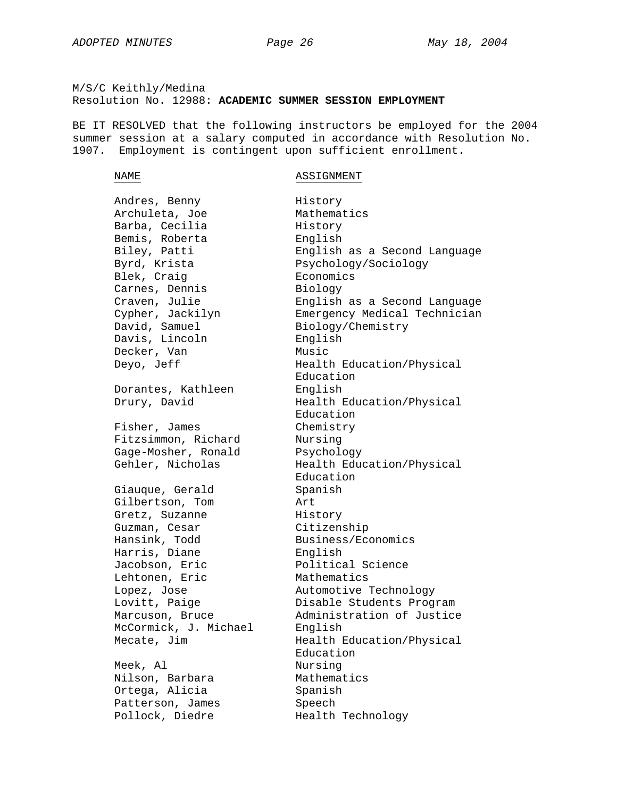# M/S/C Keithly/Medina Resolution No. 12988: **ACADEMIC SUMMER SESSION EMPLOYMENT**

BE IT RESOLVED that the following instructors be employed for the 2004 summer session at a salary computed in accordance with Resolution No. 1907. Employment is contingent upon sufficient enrollment.

#### NAME ASSIGNMENT

Andres, Benny History Archuleta, Joe Mathematics Barba, Cecilia Mistory Bemis, Roberta English Blek, Craig and Economics Carnes, Dennis Biology David, Samuel Biology/Chemistry Davis, Lincoln English Decker, Van Music Dorantes, Kathleen English Fisher, James Chemistry Fitzsimmon, Richard Nursing Gage-Mosher, Ronald Psychology Giauque, Gerald Spanish Gilbertson, Tom Art Gretz, Suzanne Mistory Guzman, Cesar Citizenship Hansink, Todd Business/Economics Harris, Diane English Jacobson, Eric Political Science Lehtonen, Eric Mathematics McCormick, J. Michael English Meek, Al Nursing Nilson, Barbara Mathematics Ortega, Alicia Spanish Patterson, James Speech Pollock, Diedre Health Technology

Biley, Patti English as a Second Language Byrd, Krista Psychology/Sociology Craven, Julie English as a Second Language Cypher, Jackilyn Emergency Medical Technician Deyo, Jeff **Health Education/Physical** Education Drury, David Health Education/Physical Education Gehler, Nicholas Health Education/Physical Education Lopez, Jose **Automotive Technology** Lovitt, Paige **Disable Students Program** Marcuson, Bruce Administration of Justice Mecate, Jim Bealth Education/Physical Education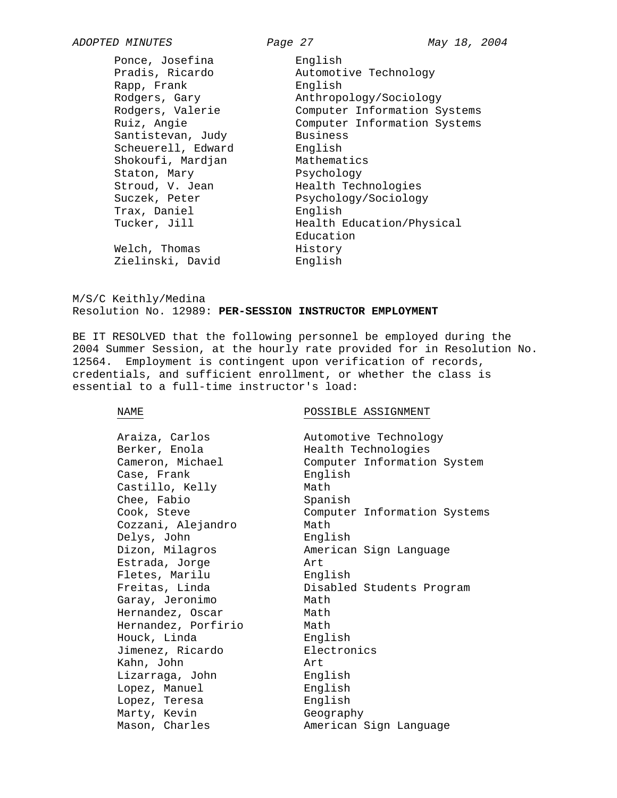Ponce, Josefina English Rapp, Frank English Santistevan, Judy Business Scheuerell, Edward English Shokoufi, Mardjan Mathematics Staton, Mary Psychology Trax, Daniel **English** 

*ADOPTED MINUTES Page 27 May 18, 2004*  Pradis, Ricardo Automotive Technology Rodgers, Gary Anthropology/Sociology Rodgers, Valerie Computer Information Systems Ruiz, Angie Computer Information Systems Stroud, V. Jean Health Technologies Suczek, Peter Psychology/Sociology Tucker, Jill Health Education/Physical Education Welch, Thomas History Zielinski, David English

M/S/C Keithly/Medina Resolution No. 12989: **PER-SESSION INSTRUCTOR EMPLOYMENT**

BE IT RESOLVED that the following personnel be employed during the 2004 Summer Session, at the hourly rate provided for in Resolution No. 12564. Employment is contingent upon verification of records, credentials, and sufficient enrollment, or whether the class is essential to a full-time instructor's load:

#### NAME POSSIBLE ASSIGNMENT

| Araiza, Carlos      | Automotive Technology        |
|---------------------|------------------------------|
| Berker, Enola       | Health Technologies          |
| Cameron, Michael    | Computer Information System  |
| Case, Frank         | English                      |
| Castillo, Kelly     | Math                         |
| Chee, Fabio         | Spanish                      |
| Cook, Steve         | Computer Information Systems |
| Cozzani, Alejandro  | Math                         |
| Delys, John         | English                      |
| Dizon, Milagros     | American Sign Language       |
| Estrada, Jorge      | Art                          |
| Fletes, Marilu      | English                      |
| Freitas, Linda      | Disabled Students Program    |
| Garay, Jeronimo     | Math                         |
| Hernandez, Oscar    | Math                         |
| Hernandez, Porfirio | Math                         |
| Houck, Linda        | English                      |
| Jimenez, Ricardo    | Electronics                  |
| Kahn, John          | Art                          |
| Lizarraga, John     | English                      |
| Lopez, Manuel       | English                      |
| Lopez, Teresa       | English                      |
| Marty, Kevin        | Geography                    |
| Mason, Charles      | American Sign Language       |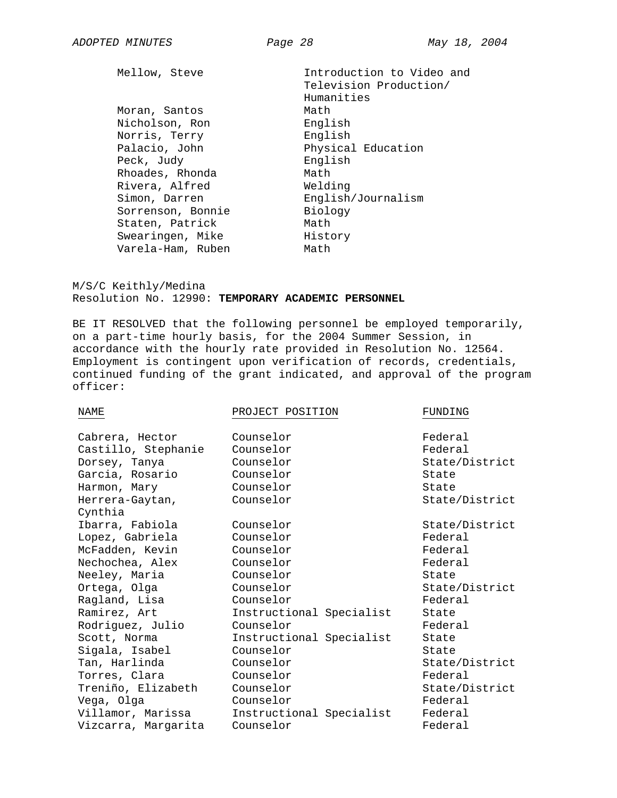Mellow, Steve **Introduction** to Video and Television Production/ Humanities Moran, Santos **Math** Nicholson, Ron English Norris, Terry **English** Physical Education Peck, Judy English Rhoades, Rhonda Math Rivera, Alfred Welding Simon, Darren English/Journalism Sorrenson, Bonnie Biology Staten, Patrick Math Swearingen, Mike History Varela-Ham, Ruben Math

M/S/C Keithly/Medina Resolution No. 12990: **TEMPORARY ACADEMIC PERSONNEL**

BE IT RESOLVED that the following personnel be employed temporarily, on a part-time hourly basis, for the 2004 Summer Session, in accordance with the hourly rate provided in Resolution No. 12564. Employment is contingent upon verification of records, credentials, continued funding of the grant indicated, and approval of the program officer:

| NAME                | PROJECT POSITION         | FUNDING        |
|---------------------|--------------------------|----------------|
|                     |                          |                |
| Cabrera, Hector     | Counselor                | Federal        |
| Castillo, Stephanie | Counselor                | Federal        |
| Dorsey, Tanya       | Counselor                | State/District |
| Garcia, Rosario     | Counselor                | State          |
| Harmon, Mary        | Counselor                | State          |
| Herrera-Gaytan,     | Counselor                | State/District |
| Cynthia             |                          |                |
| Ibarra, Fabiola     | Counselor                | State/District |
| Lopez, Gabriela     | Counselor                | Federal        |
| McFadden, Kevin     | Counselor                | Federal        |
| Nechochea, Alex     | Counselor                | Federal        |
| Neeley, Maria       | Counselor                | State          |
| Ortega, Olga        | Counselor                | State/District |
| Ragland, Lisa       | Counselor                | Federal        |
| Ramirez, Art        | Instructional Specialist | State          |
| Rodriguez, Julio    | Counselor                | Federal        |
| Scott, Norma        | Instructional Specialist | State          |
| Sigala, Isabel      | Counselor                | State          |
| Tan, Harlinda       | Counselor                | State/District |
| Torres, Clara       | Counselor                | Federal        |
| Treniño, Elizabeth  | Counselor                | State/District |
| Vega, Olga          | Counselor                | Federal        |
| Villamor, Marissa   | Instructional Specialist | Federal        |
| Vizcarra, Margarita | Counselor                | Federal        |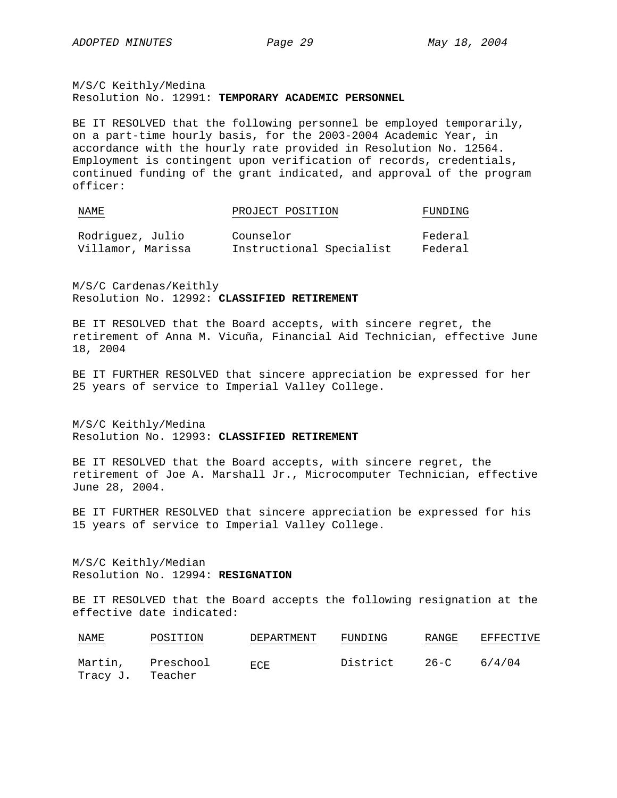M/S/C Keithly/Medina Resolution No. 12991: **TEMPORARY ACADEMIC PERSONNEL**

BE IT RESOLVED that the following personnel be employed temporarily, on a part-time hourly basis, for the 2003-2004 Academic Year, in accordance with the hourly rate provided in Resolution No. 12564. Employment is contingent upon verification of records, credentials, continued funding of the grant indicated, and approval of the program officer:

| NAME                                                              |  | PROJECT POSITION | FUNDING               |
|-------------------------------------------------------------------|--|------------------|-----------------------|
| $D \circ d \circ i \circ m \circ \sigma$ $T \circ l \circ \sigma$ |  | $Cquar - Cpr$    | $F \circ \sim \sim 1$ |

| Rodriguez, Julio  | Counselor                | Federal |
|-------------------|--------------------------|---------|
| Villamor, Marissa | Instructional Specialist | Federal |

M/S/C Cardenas/Keithly Resolution No. 12992: **CLASSIFIED RETIREMENT**

BE IT RESOLVED that the Board accepts, with sincere regret, the retirement of Anna M. Vicuña, Financial Aid Technician, effective June 18, 2004

BE IT FURTHER RESOLVED that sincere appreciation be expressed for her 25 years of service to Imperial Valley College.

M/S/C Keithly/Medina Resolution No. 12993: **CLASSIFIED RETIREMENT**

BE IT RESOLVED that the Board accepts, with sincere regret, the retirement of Joe A. Marshall Jr., Microcomputer Technician, effective June 28, 2004.

BE IT FURTHER RESOLVED that sincere appreciation be expressed for his 15 years of service to Imperial Valley College.

M/S/C Keithly/Median Resolution No. 12994: **RESIGNATION**

BE IT RESOLVED that the Board accepts the following resignation at the effective date indicated:

| NAME                | POSITION             | DEPARTMENT | FUNDING  | RANGE    | EFFECTIVE |
|---------------------|----------------------|------------|----------|----------|-----------|
| Martin,<br>Tracy J. | Preschool<br>Teacher | ECE.       | District | $26 - C$ | 6/4/04    |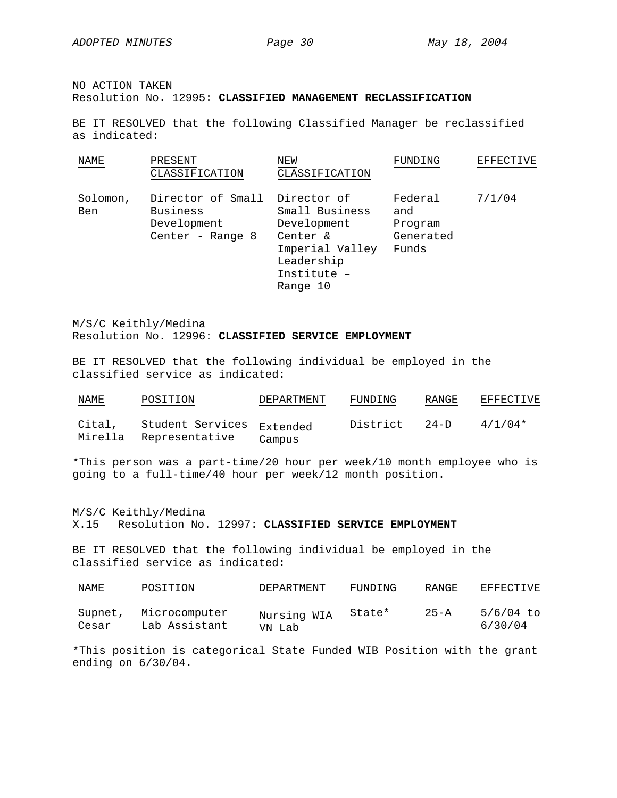NO ACTION TAKEN Resolution No. 12995: **CLASSIFIED MANAGEMENT RECLASSIFICATION**

BE IT RESOLVED that the following Classified Manager be reclassified as indicated:

| NAME            | PRESENT<br>CLASSIFICATION                                        | NEW<br>CLASSIFICATION                                                                                                | FUNDING                                         | EFFECTIVE |
|-----------------|------------------------------------------------------------------|----------------------------------------------------------------------------------------------------------------------|-------------------------------------------------|-----------|
| Solomon,<br>Ben | Director of Small<br>Business<br>Development<br>Center - Range 8 | Director of<br>Small Business<br>Development<br>Center &<br>Imperial Valley<br>Leadership<br>Institute -<br>Range 10 | Federal<br>and<br>Program<br>Generated<br>Funds | 7/1/04    |

M/S/C Keithly/Medina Resolution No. 12996: **CLASSIFIED SERVICE EMPLOYMENT**

BE IT RESOLVED that the following individual be employed in the classified service as indicated:

| NAME              | POSITION                           | DEPARTMENT         | FUNDING  | RANGE    | EFFECTIVE |
|-------------------|------------------------------------|--------------------|----------|----------|-----------|
| Cital,<br>Mirella | Student Services<br>Representative | Extended<br>Campus | District | $24 - D$ | $4/1/04*$ |

\*This person was a part-time/20 hour per week/10 month employee who is going to a full-time/40 hour per week/12 month position.

M/S/C Keithly/Medina X.15 Resolution No. 12997: **CLASSIFIED SERVICE EMPLOYMENT**

BE IT RESOLVED that the following individual be employed in the classified service as indicated:

| NAME<br><b>Service Contracts</b> | POSITION                       | DEPARTMENT            | FUNDING | RANGE    | EFFECTIVE              |
|----------------------------------|--------------------------------|-----------------------|---------|----------|------------------------|
| Supnet,<br>Cesar                 | Microcomputer<br>Lab Assistant | Nursing WIA<br>VN Lab | State*  | $25 - A$ | $5/6/04$ to<br>6/30/04 |

\*This position is categorical State Funded WIB Position with the grant ending on 6/30/04.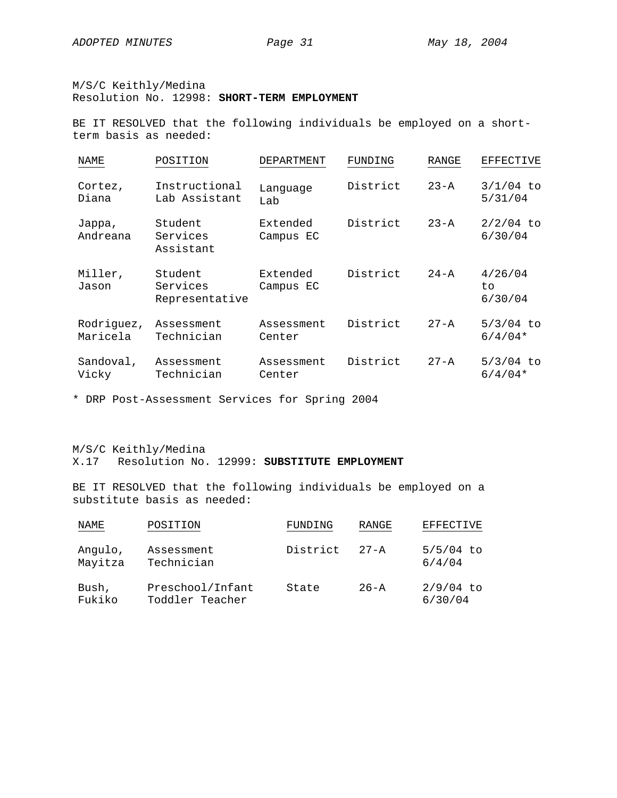M/S/C Keithly/Medina

Resolution No. 12998: **SHORT-TERM EMPLOYMENT**

BE IT RESOLVED that the following individuals be employed on a shortterm basis as needed:

| NAME                   | POSITION                              | DEPARTMENT            | FUNDING  | RANGE    | EFFECTIVE                 |
|------------------------|---------------------------------------|-----------------------|----------|----------|---------------------------|
| Cortez,<br>Diana       | Instructional<br>Lab Assistant        | Language<br>Lab       | District | $23 - A$ | $3/1/04$ to<br>5/31/04    |
| Jappa,<br>Andreana     | Student<br>Services<br>Assistant      | Extended<br>Campus EC | District | $23 - A$ | $2/2/04$ to<br>6/30/04    |
| Miller,<br>Jason       | Student<br>Services<br>Representative | Extended<br>Campus EC | District | $24 - A$ | 4/26/04<br>to.<br>6/30/04 |
| Rodriguez,<br>Maricela | Assessment<br>Technician              | Assessment<br>Center  | District | $27 - A$ | $5/3/04$ to<br>$6/4/04*$  |
| Sandoval,<br>Vicky     | Assessment<br>Technician              | Assessment<br>Center  | District | $27 - A$ | $5/3/04$ to<br>$6/4/04*$  |

\* DRP Post-Assessment Services for Spring 2004

M/S/C Keithly/Medina X.17 Resolution No. 12999: **SUBSTITUTE EMPLOYMENT**

BE IT RESOLVED that the following individuals be employed on a substitute basis as needed:

| NAME               | POSITION                            | FUNDING  | RANGE    | EFFECTIVE              |
|--------------------|-------------------------------------|----------|----------|------------------------|
| Angulo,<br>Mayitza | Assessment<br>Technician            | District | $27 - A$ | $5/5/04$ to<br>6/4/04  |
| Bush,<br>Fukiko    | Preschool/Infant<br>Toddler Teacher | State    | $26 - A$ | $2/9/04$ to<br>6/30/04 |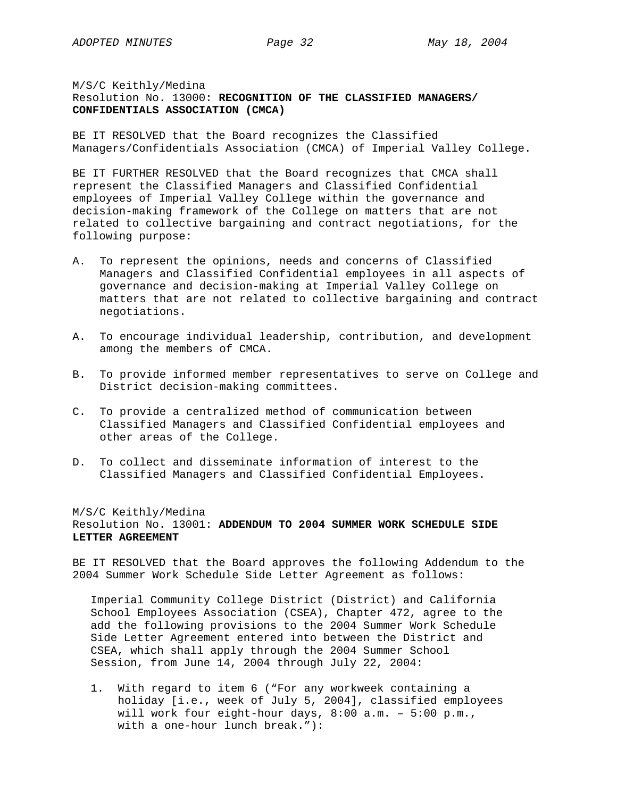# M/S/C Keithly/Medina Resolution No. 13000: **RECOGNITION OF THE CLASSIFIED MANAGERS/ CONFIDENTIALS ASSOCIATION (CMCA)**

BE IT RESOLVED that the Board recognizes the Classified Managers/Confidentials Association (CMCA) of Imperial Valley College.

BE IT FURTHER RESOLVED that the Board recognizes that CMCA shall represent the Classified Managers and Classified Confidential employees of Imperial Valley College within the governance and decision-making framework of the College on matters that are not related to collective bargaining and contract negotiations, for the following purpose:

- A. To represent the opinions, needs and concerns of Classified Managers and Classified Confidential employees in all aspects of governance and decision-making at Imperial Valley College on matters that are not related to collective bargaining and contract negotiations.
- A. To encourage individual leadership, contribution, and development among the members of CMCA.
- B. To provide informed member representatives to serve on College and District decision-making committees.
- C. To provide a centralized method of communication between Classified Managers and Classified Confidential employees and other areas of the College.
- D. To collect and disseminate information of interest to the Classified Managers and Classified Confidential Employees.

#### M/S/C Keithly/Medina

Resolution No. 13001: **ADDENDUM TO 2004 SUMMER WORK SCHEDULE SIDE LETTER AGREEMENT**

BE IT RESOLVED that the Board approves the following Addendum to the 2004 Summer Work Schedule Side Letter Agreement as follows:

Imperial Community College District (District) and California School Employees Association (CSEA), Chapter 472, agree to the add the following provisions to the 2004 Summer Work Schedule Side Letter Agreement entered into between the District and CSEA, which shall apply through the 2004 Summer School Session, from June 14, 2004 through July 22, 2004:

1. With regard to item 6 ("For any workweek containing a holiday [i.e., week of July 5, 2004], classified employees will work four eight-hour days, 8:00 a.m. – 5:00 p.m., with a one-hour lunch break."):